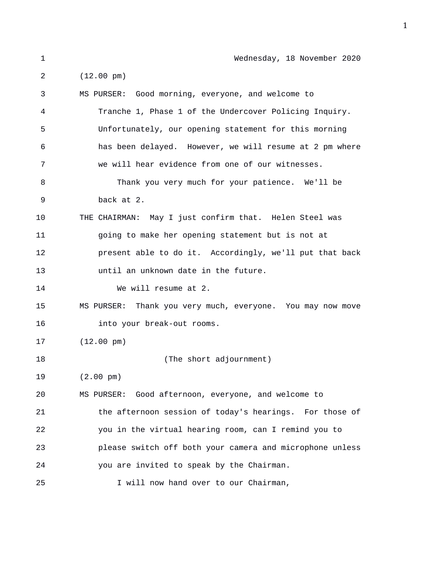| $\mathbf 1$ | Wednesday, 18 November 2020                                |
|-------------|------------------------------------------------------------|
| 2           | $(12.00 \text{ pm})$                                       |
| 3           | MS PURSER: Good morning, everyone, and welcome to          |
| 4           | Tranche 1, Phase 1 of the Undercover Policing Inquiry.     |
| 5           | Unfortunately, our opening statement for this morning      |
| 6           | has been delayed. However, we will resume at 2 pm where    |
| 7           | we will hear evidence from one of our witnesses.           |
| 8           | Thank you very much for your patience. We'll be            |
| 9           | back at 2.                                                 |
| 10          | THE CHAIRMAN: May I just confirm that. Helen Steel was     |
| 11          | going to make her opening statement but is not at          |
| 12          | present able to do it. Accordingly, we'll put that back    |
| 13          | until an unknown date in the future.                       |
| 14          | We will resume at 2.                                       |
| 15          | MS PURSER: Thank you very much, everyone. You may now move |
| 16          | into your break-out rooms.                                 |
| 17          | $(12.00 \text{ pm})$                                       |
| 18          | (The short adjournment)                                    |
| 19          | $(2.00 \text{ pm})$                                        |
| 20          | MS PURSER: Good afternoon, everyone, and welcome to        |
| 21          | the afternoon session of today's hearings. For those of    |
| 22          | you in the virtual hearing room, can I remind you to       |
| 23          | please switch off both your camera and microphone unless   |
| 24          | you are invited to speak by the Chairman.                  |
| 25          | I will now hand over to our Chairman,                      |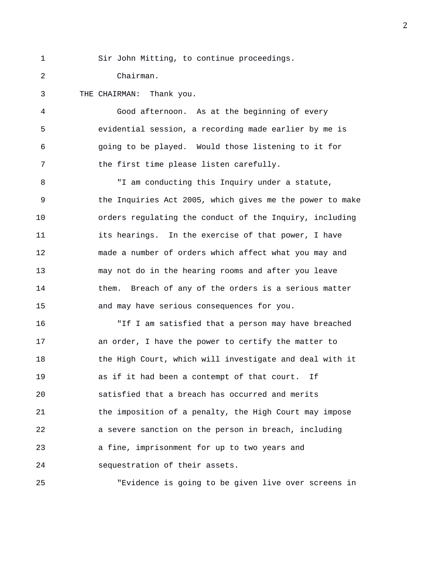1 Sir John Mitting, to continue proceedings.

2 Chairman.

3 THE CHAIRMAN: Thank you.

4 Good afternoon. As at the beginning of every 5 evidential session, a recording made earlier by me is 6 going to be played. Would those listening to it for 7 the first time please listen carefully.

8 "I am conducting this Inquiry under a statute, 9 the Inquiries Act 2005, which gives me the power to make 10 orders regulating the conduct of the Inquiry, including 11 its hearings. In the exercise of that power, I have 12 made a number of orders which affect what you may and 13 may not do in the hearing rooms and after you leave 14 them. Breach of any of the orders is a serious matter 15 and may have serious consequences for you.

16 "If I am satisfied that a person may have breached 17 an order, I have the power to certify the matter to 18 the High Court, which will investigate and deal with it 19 as if it had been a contempt of that court. If 20 satisfied that a breach has occurred and merits 21 the imposition of a penalty, the High Court may impose 22 a severe sanction on the person in breach, including 23 a fine, imprisonment for up to two years and 24 sequestration of their assets.

25 "Evidence is going to be given live over screens in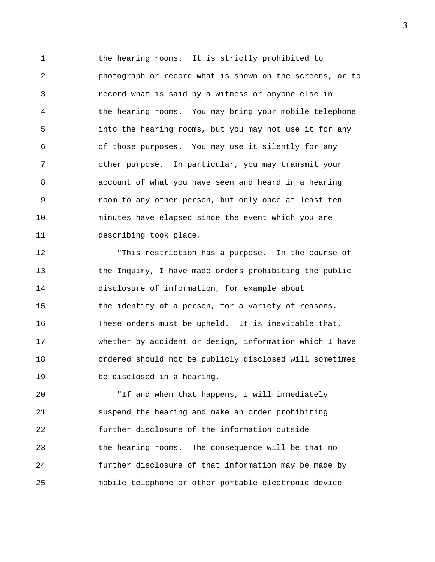1 the hearing rooms. It is strictly prohibited to 2 photograph or record what is shown on the screens, or to 3 record what is said by a witness or anyone else in 4 the hearing rooms. You may bring your mobile telephone 5 into the hearing rooms, but you may not use it for any 6 of those purposes. You may use it silently for any 7 other purpose. In particular, you may transmit your 8 account of what you have seen and heard in a hearing 9 room to any other person, but only once at least ten 10 minutes have elapsed since the event which you are 11 describing took place.

12 "This restriction has a purpose. In the course of 13 the Inquiry, I have made orders prohibiting the public 14 disclosure of information, for example about 15 the identity of a person, for a variety of reasons. 16 These orders must be upheld. It is inevitable that, 17 whether by accident or design, information which I have 18 ordered should not be publicly disclosed will sometimes 19 be disclosed in a hearing.

20 "If and when that happens, I will immediately 21 suspend the hearing and make an order prohibiting 22 further disclosure of the information outside 23 the hearing rooms. The consequence will be that no 24 further disclosure of that information may be made by 25 mobile telephone or other portable electronic device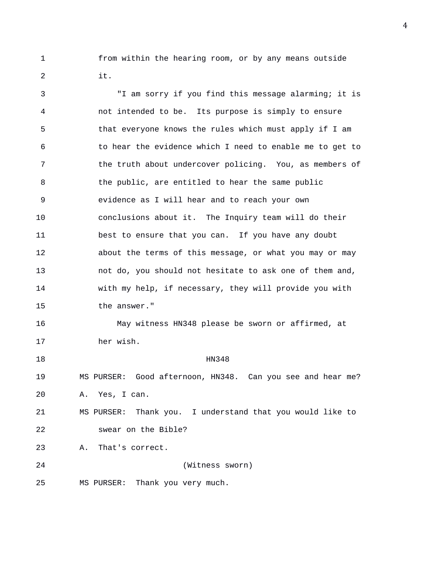1 from within the hearing room, or by any means outside 2 it.

3 "I am sorry if you find this message alarming; it is 4 not intended to be. Its purpose is simply to ensure 5 that everyone knows the rules which must apply if I am 6 to hear the evidence which I need to enable me to get to 7 the truth about undercover policing. You, as members of 8 the public, are entitled to hear the same public 9 evidence as I will hear and to reach your own 10 conclusions about it. The Inquiry team will do their 11 best to ensure that you can. If you have any doubt 12 about the terms of this message, or what you may or may 13 not do, you should not hesitate to ask one of them and, 14 with my help, if necessary, they will provide you with 15 the answer." 16 May witness HN348 please be sworn or affirmed, at 17 her wish. 18 HN348 19 MS PURSER: Good afternoon, HN348. Can you see and hear me? 20 A. Yes, I can. 21 MS PURSER: Thank you. I understand that you would like to 22 swear on the Bible? 23 A. That's correct. 24 (Witness sworn) 25 MS PURSER: Thank you very much.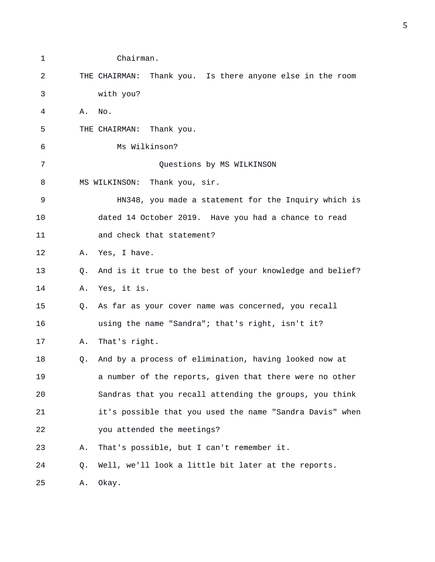| 1  |    | Chairman.                                                    |
|----|----|--------------------------------------------------------------|
| 2  |    | Thank you. Is there anyone else in the room<br>THE CHAIRMAN: |
| 3  |    | with you?                                                    |
| 4  | Α. | No.                                                          |
| 5  |    | THE CHAIRMAN: Thank you.                                     |
| 6  |    | Ms Wilkinson?                                                |
| 7  |    | Questions by MS WILKINSON                                    |
| 8  |    | Thank you, sir.<br>MS WILKINSON:                             |
| 9  |    | HN348, you made a statement for the Inquiry which is         |
| 10 |    | dated 14 October 2019. Have you had a chance to read         |
| 11 |    | and check that statement?                                    |
| 12 | Α. | Yes, I have.                                                 |
| 13 | Q. | And is it true to the best of your knowledge and belief?     |
| 14 | Α. | Yes, it is.                                                  |
| 15 | 0. | As far as your cover name was concerned, you recall          |
| 16 |    | using the name "Sandra"; that's right, isn't it?             |
| 17 | Α. | That's right.                                                |
| 18 | Q. | And by a process of elimination, having looked now at        |
| 19 |    | a number of the reports, given that there were no other      |
| 20 |    | Sandras that you recall attending the groups, you think      |
| 21 |    | it's possible that you used the name "Sandra Davis" when     |
| 22 |    | you attended the meetings?                                   |
| 23 | Α. | That's possible, but I can't remember it.                    |
| 24 | Q. | Well, we'll look a little bit later at the reports.          |
| 25 | Α. | Okay.                                                        |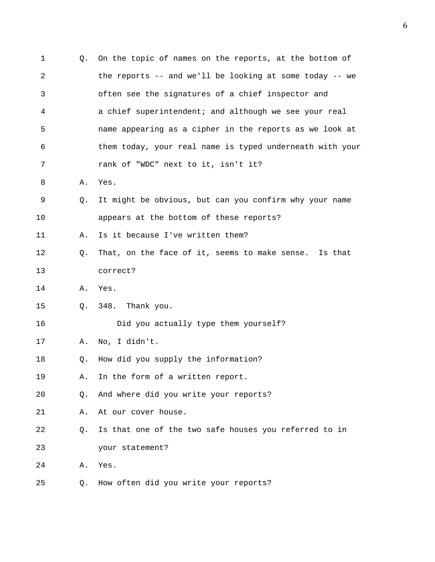| 1  | О. | On the topic of names on the reports, at the bottom of   |
|----|----|----------------------------------------------------------|
| 2  |    | the reports -- and we'll be looking at some today -- we  |
| 3  |    | often see the signatures of a chief inspector and        |
| 4  |    | a chief superintendent; and although we see your real    |
| 5  |    | name appearing as a cipher in the reports as we look at  |
| 6  |    | them today, your real name is typed underneath with your |
| 7  |    | rank of "WDC" next to it, isn't it?                      |
| 8  | Α. | Yes.                                                     |
| 9  | O. | It might be obvious, but can you confirm why your name   |
| 10 |    | appears at the bottom of these reports?                  |
| 11 | Α. | Is it because I've written them?                         |
| 12 | O. | That, on the face of it, seems to make sense. Is that    |
| 13 |    | correct?                                                 |
| 14 | Α. | Yes.                                                     |
| 15 | O. | 348. Thank you.                                          |
| 16 |    | Did you actually type them yourself?                     |
| 17 | Α. | No, I didn't.                                            |
| 18 | Q. | How did you supply the information?                      |
| 19 | Α. | In the form of a written report.                         |
| 20 | Q. | And where did you write your reports?                    |
| 21 | Α. | At our cover house.                                      |
| 22 | Q. | Is that one of the two safe houses you referred to in    |
| 23 |    | your statement?                                          |
| 24 | Α. | Yes.                                                     |
| 25 | Q. | How often did you write your reports?                    |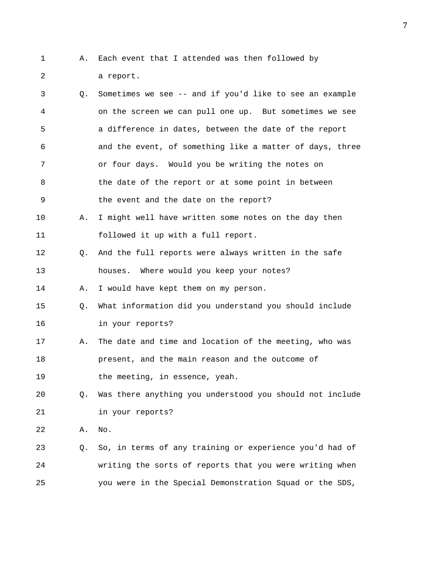- 1 A. Each event that I attended was then followed by
- 2 a report.
- 
- 3 Q. Sometimes we see -- and if you'd like to see an example 4 on the screen we can pull one up. But sometimes we see 5 a difference in dates, between the date of the report 6 and the event, of something like a matter of days, three 7 or four days. Would you be writing the notes on 8 the date of the report or at some point in between 9 the event and the date on the report? 10 A. I might well have written some notes on the day then 11 followed it up with a full report. 12 Q. And the full reports were always written in the safe 13 houses. Where would you keep your notes? 14 A. I would have kept them on my person. 15 Q. What information did you understand you should include 16 in your reports? 17 A. The date and time and location of the meeting, who was 18 present, and the main reason and the outcome of 19 the meeting, in essence, yeah. 20 Q. Was there anything you understood you should not include 21 in your reports? 22 A. No. 23 Q. So, in terms of any training or experience you'd had of 24 writing the sorts of reports that you were writing when 25 you were in the Special Demonstration Squad or the SDS,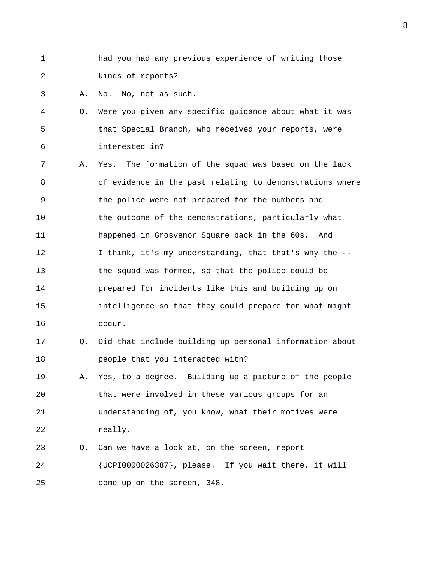1 had you had any previous experience of writing those 2 kinds of reports?

3 A. No. No, not as such.

- 4 Q. Were you given any specific guidance about what it was 5 that Special Branch, who received your reports, were 6 interested in?
- 7 A. Yes. The formation of the squad was based on the lack 8 of evidence in the past relating to demonstrations where 9 the police were not prepared for the numbers and 10 the outcome of the demonstrations, particularly what 11 happened in Grosvenor Square back in the 60s. And 12 I think, it's my understanding, that that's why the --13 the squad was formed, so that the police could be 14 prepared for incidents like this and building up on 15 intelligence so that they could prepare for what might 16 occur.
- 17 Q. Did that include building up personal information about 18 people that you interacted with?
- 19 A. Yes, to a degree. Building up a picture of the people 20 that were involved in these various groups for an 21 understanding of, you know, what their motives were 22 really.
- 23 Q. Can we have a look at, on the screen, report 24 {UCPI0000026387}, please. If you wait there, it will 25 come up on the screen, 348.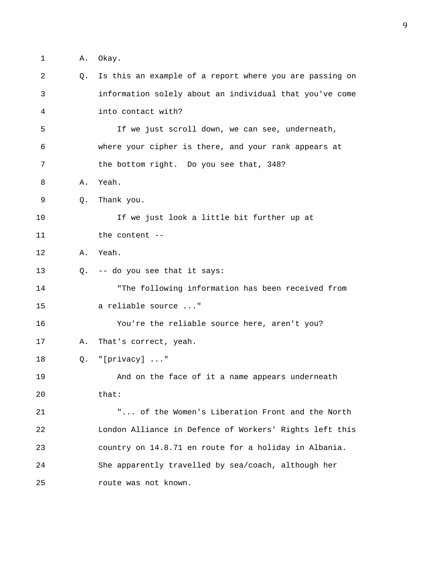1 A. Okay.

| 2  | 0. | Is this an example of a report where you are passing on |
|----|----|---------------------------------------------------------|
| 3  |    | information solely about an individual that you've come |
| 4  |    | into contact with?                                      |
| 5  |    | If we just scroll down, we can see, underneath,         |
| 6  |    | where your cipher is there, and your rank appears at    |
| 7  |    | the bottom right. Do you see that, 348?                 |
| 8  | Α. | Yeah.                                                   |
| 9  | Q. | Thank you.                                              |
| 10 |    | If we just look a little bit further up at              |
| 11 |    | the content --                                          |
| 12 | Α. | Yeah.                                                   |
| 13 |    | Q. -- do you see that it says:                          |
| 14 |    | "The following information has been received from       |
| 15 |    | a reliable source "                                     |
| 16 |    | You're the reliable source here, aren't you?            |
| 17 | Α. | That's correct, yeah.                                   |
| 18 | Q. | "[ $\text{privacy}$ ] "                                 |
| 19 |    | And on the face of it a name appears underneath         |
| 20 |    | that:                                                   |
| 21 |    | " of the Women's Liberation Front and the North         |
| 22 |    | London Alliance in Defence of Workers' Rights left this |
| 23 |    | country on 14.8.71 en route for a holiday in Albania.   |
| 24 |    | She apparently travelled by sea/coach, although her     |
| 25 |    | route was not known.                                    |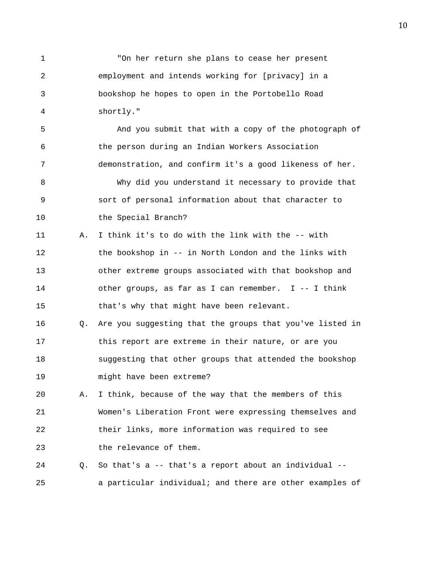1 "On her return she plans to cease her present 2 employment and intends working for [privacy] in a 3 bookshop he hopes to open in the Portobello Road 4 shortly." 5 And you submit that with a copy of the photograph of 6 the person during an Indian Workers Association 7 demonstration, and confirm it's a good likeness of her. 8 Why did you understand it necessary to provide that 9 sort of personal information about that character to 10 the Special Branch? 11 A. I think it's to do with the link with the -- with 12 the bookshop in -- in North London and the links with 13 other extreme groups associated with that bookshop and 14 other groups, as far as I can remember. I -- I think 15 that's why that might have been relevant. 16 Q. Are you suggesting that the groups that you've listed in 17 this report are extreme in their nature, or are you 18 suggesting that other groups that attended the bookshop 19 might have been extreme? 20 A. I think, because of the way that the members of this 21 Women's Liberation Front were expressing themselves and 22 their links, more information was required to see 23 the relevance of them. 24 Q. So that's a -- that's a report about an individual -- 25 a particular individual; and there are other examples of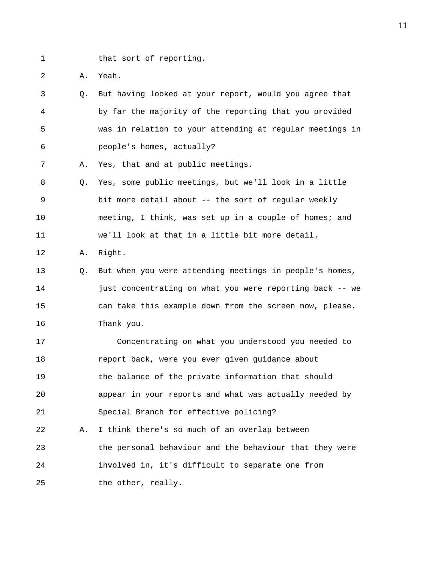1 that sort of reporting.

2 A. Yeah.

|    | Q. But having looked at your report, would you agree that |
|----|-----------------------------------------------------------|
| 4  | by far the majority of the reporting that you provided    |
| -5 | was in relation to your attending at regular meetings in  |
| -6 | people's homes, actually?                                 |

7 A. Yes, that and at public meetings.

8 Q. Yes, some public meetings, but we'll look in a little 9 bit more detail about -- the sort of regular weekly 10 meeting, I think, was set up in a couple of homes; and 11 we'll look at that in a little bit more detail.

12 A. Right.

13 Q. But when you were attending meetings in people's homes, 14 **just concentrating on what you were reporting back -- we** 15 can take this example down from the screen now, please. 16 Thank you.

17 Concentrating on what you understood you needed to 18 report back, were you ever given guidance about 19 the balance of the private information that should 20 appear in your reports and what was actually needed by 21 Special Branch for effective policing? 22 A. I think there's so much of an overlap between 23 the personal behaviour and the behaviour that they were

24 involved in, it's difficult to separate one from 25 the other, really.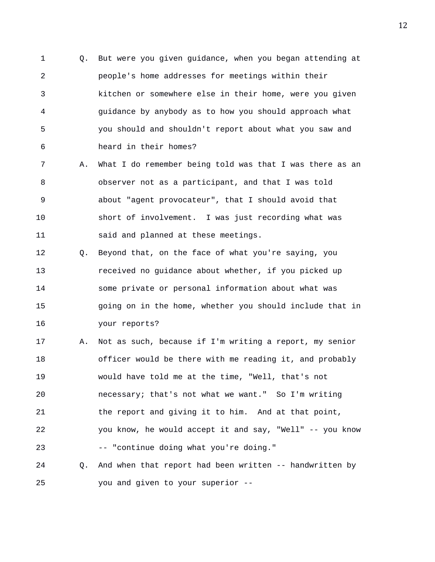1 Q. But were you given guidance, when you began attending at 2 people's home addresses for meetings within their 3 kitchen or somewhere else in their home, were you given 4 guidance by anybody as to how you should approach what 5 you should and shouldn't report about what you saw and 6 heard in their homes?

7 A. What I do remember being told was that I was there as an 8 observer not as a participant, and that I was told 9 about "agent provocateur", that I should avoid that 10 short of involvement. I was just recording what was 11 said and planned at these meetings.

12 Q. Beyond that, on the face of what you're saying, you 13 received no guidance about whether, if you picked up 14 some private or personal information about what was 15 going on in the home, whether you should include that in 16 your reports?

17 A. Not as such, because if I'm writing a report, my senior 18 officer would be there with me reading it, and probably 19 would have told me at the time, "Well, that's not 20 necessary; that's not what we want." So I'm writing 21 the report and giving it to him. And at that point, 22 you know, he would accept it and say, "Well" -- you know 23 -- "continue doing what you're doing." 24 Q. And when that report had been written -- handwritten by

25 you and given to your superior --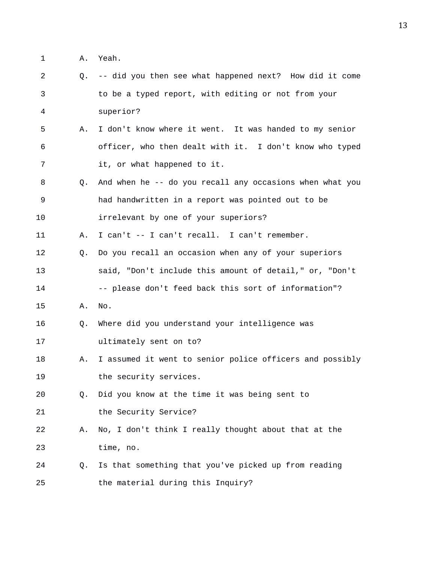- 1 A. Yeah.
- 2 Q. -- did you then see what happened next? How did it come 3 to be a typed report, with editing or not from your 4 superior?
- 5 A. I don't know where it went. It was handed to my senior 6 officer, who then dealt with it. I don't know who typed 7 it, or what happened to it.
- 8 Q. And when he -- do you recall any occasions when what you 9 had handwritten in a report was pointed out to be 10 irrelevant by one of your superiors?
- 11 A. I can't -- I can't recall. I can't remember.
- 12 Q. Do you recall an occasion when any of your superiors 13 said, "Don't include this amount of detail," or, "Don't 14 -- please don't feed back this sort of information"?
- 15 A. No.
- 16 Q. Where did you understand your intelligence was
- 17 ultimately sent on to?
- 18 A. I assumed it went to senior police officers and possibly 19 the security services.
- 20 Q. Did you know at the time it was being sent to 21 the Security Service?
- 22 A. No, I don't think I really thought about that at the 23 time, no.
- 24 Q. Is that something that you've picked up from reading 25 the material during this Inquiry?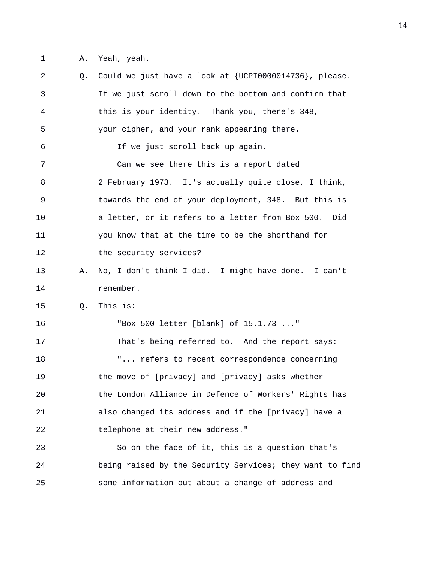1 A. Yeah, yeah.

| 2  | Q. | Could we just have a look at $\{UCP10000014736\}$ , please. |
|----|----|-------------------------------------------------------------|
| 3  |    | If we just scroll down to the bottom and confirm that       |
| 4  |    | this is your identity. Thank you, there's 348,              |
| 5  |    | your cipher, and your rank appearing there.                 |
| 6  |    | If we just scroll back up again.                            |
| 7  |    | Can we see there this is a report dated                     |
| 8  |    | 2 February 1973. It's actually quite close, I think,        |
| 9  |    | towards the end of your deployment, 348. But this is        |
| 10 |    | a letter, or it refers to a letter from Box 500. Did        |
| 11 |    | you know that at the time to be the shorthand for           |
| 12 |    | the security services?                                      |
| 13 | Α. | No, I don't think I did. I might have done. I can't         |
| 14 |    | remember.                                                   |
| 15 | Q. | This is:                                                    |
| 16 |    | "Box 500 letter [blank] of 15.1.73 "                        |
| 17 |    | That's being referred to. And the report says:              |
| 18 |    | " refers to recent correspondence concerning                |
| 19 |    | the move of [privacy] and [privacy] asks whether            |
| 20 |    | the London Alliance in Defence of Workers' Rights has       |
| 21 |    | also changed its address and if the [privacy] have a        |
| 22 |    | telephone at their new address."                            |
| 23 |    | So on the face of it, this is a question that's             |
| 24 |    | being raised by the Security Services; they want to find    |
| 25 |    | some information out about a change of address and          |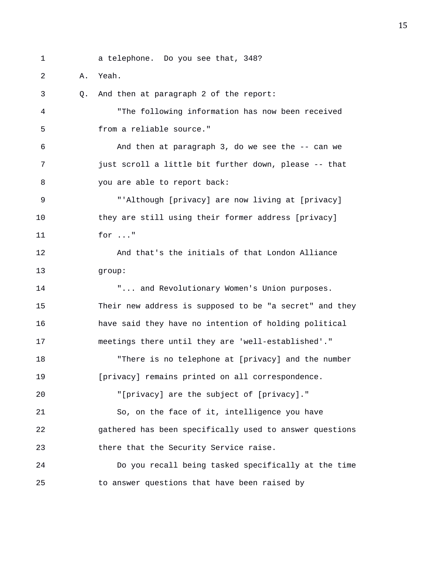1 a telephone. Do you see that, 348? 2 A. Yeah. 3 Q. And then at paragraph 2 of the report: 4 "The following information has now been received 5 from a reliable source." 6 And then at paragraph 3, do we see the -- can we 7 just scroll a little bit further down, please -- that 8 you are able to report back: 9 "'Although [privacy] are now living at [privacy] 10 they are still using their former address [privacy] 11 for ..." 12 And that's the initials of that London Alliance 13 group: 14 "... and Revolutionary Women's Union purposes. 15 Their new address is supposed to be "a secret" and they 16 have said they have no intention of holding political 17 meetings there until they are 'well-established'." 18 "There is no telephone at [privacy] and the number 19 [privacy] remains printed on all correspondence. 20 "[privacy] are the subject of [privacy]." 21 So, on the face of it, intelligence you have 22 gathered has been specifically used to answer questions 23 there that the Security Service raise. 24 Do you recall being tasked specifically at the time 25 to answer questions that have been raised by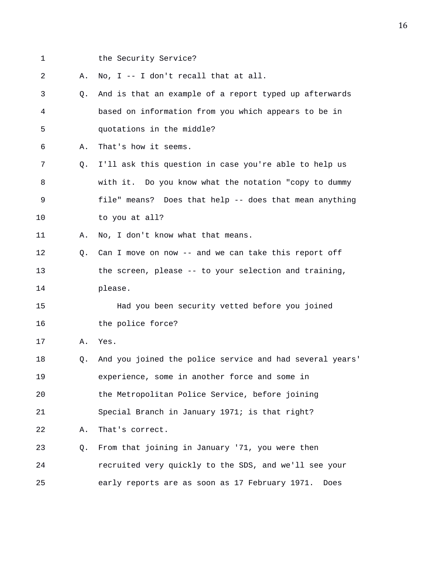- 
- 1 the Security Service?

2 A. No, I -- I don't recall that at all. 3 Q. And is that an example of a report typed up afterwards 4 based on information from you which appears to be in 5 quotations in the middle? 6 A. That's how it seems. 7 Q. I'll ask this question in case you're able to help us 8 with it. Do you know what the notation "copy to dummy 9 file" means? Does that help -- does that mean anything 10 to you at all? 11 A. No, I don't know what that means. 12 Q. Can I move on now -- and we can take this report off 13 the screen, please -- to your selection and training, 14 please. 15 Had you been security vetted before you joined 16 the police force? 17 A. Yes. 18 Q. And you joined the police service and had several years' 19 experience, some in another force and some in 20 the Metropolitan Police Service, before joining 21 Special Branch in January 1971; is that right? 22 A. That's correct. 23 Q. From that joining in January '71, you were then 24 recruited very quickly to the SDS, and we'll see your 25 early reports are as soon as 17 February 1971. Does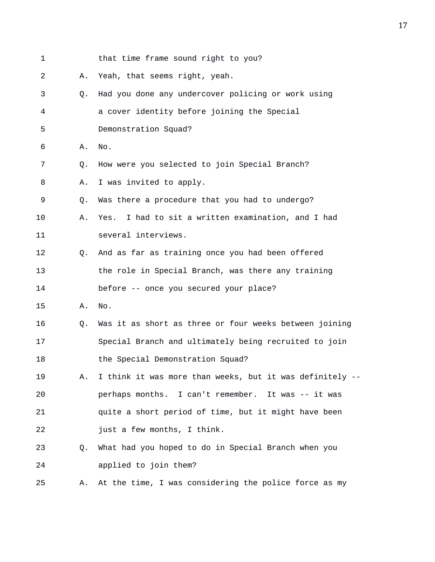1 that time frame sound right to you? 2 A. Yeah, that seems right, yeah. 3 Q. Had you done any undercover policing or work using 4 a cover identity before joining the Special 5 Demonstration Squad? 6 A. No. 7 Q. How were you selected to join Special Branch? 8 A. I was invited to apply. 9 Q. Was there a procedure that you had to undergo? 10 A. Yes. I had to sit a written examination, and I had 11 several interviews. 12 Q. And as far as training once you had been offered 13 the role in Special Branch, was there any training 14 before -- once you secured your place? 15 A. No. 16 Q. Was it as short as three or four weeks between joining 17 Special Branch and ultimately being recruited to join 18 the Special Demonstration Squad? 19 A. I think it was more than weeks, but it was definitely -- 20 perhaps months. I can't remember. It was -- it was 21 quite a short period of time, but it might have been 22 just a few months, I think. 23 Q. What had you hoped to do in Special Branch when you 24 applied to join them? 25 A. At the time, I was considering the police force as my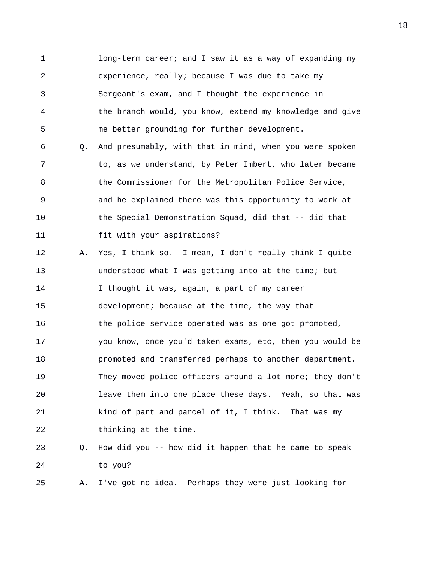1 long-term career; and I saw it as a way of expanding my 2 experience, really; because I was due to take my 3 Sergeant's exam, and I thought the experience in 4 the branch would, you know, extend my knowledge and give 5 me better grounding for further development.

6 Q. And presumably, with that in mind, when you were spoken 7 to, as we understand, by Peter Imbert, who later became 8 the Commissioner for the Metropolitan Police Service, 9 and he explained there was this opportunity to work at 10 the Special Demonstration Squad, did that -- did that 11 fit with your aspirations?

12 A. Yes, I think so. I mean, I don't really think I quite 13 understood what I was getting into at the time; but 14 I thought it was, again, a part of my career 15 development; because at the time, the way that 16 the police service operated was as one got promoted, 17 you know, once you'd taken exams, etc, then you would be 18 promoted and transferred perhaps to another department. 19 They moved police officers around a lot more; they don't 20 leave them into one place these days. Yeah, so that was 21 kind of part and parcel of it, I think. That was my 22 thinking at the time.

## 23 Q. How did you -- how did it happen that he came to speak 24 to you?

25 A. I've got no idea. Perhaps they were just looking for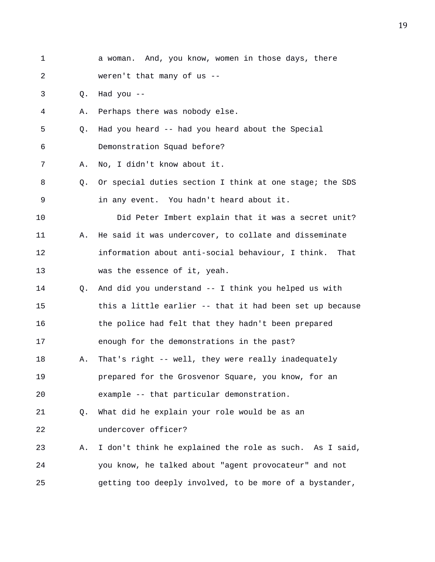| 1  |    | a woman. And, you know, women in those days, there        |
|----|----|-----------------------------------------------------------|
| 2  |    | weren't that many of us --                                |
| 3  | Q. | Had you $--$                                              |
| 4  | Α. | Perhaps there was nobody else.                            |
| 5  | Q. | Had you heard -- had you heard about the Special          |
| 6  |    | Demonstration Squad before?                               |
| 7  | Α. | No, I didn't know about it.                               |
| 8  | Q. | Or special duties section I think at one stage; the SDS   |
| 9  |    | in any event. You hadn't heard about it.                  |
| 10 |    | Did Peter Imbert explain that it was a secret unit?       |
| 11 | Α. | He said it was undercover, to collate and disseminate     |
| 12 |    | information about anti-social behaviour, I think.<br>That |
| 13 |    | was the essence of it, yeah.                              |
| 14 | Q. | And did you understand -- I think you helped us with      |
| 15 |    | this a little earlier -- that it had been set up because  |
| 16 |    | the police had felt that they hadn't been prepared        |
| 17 |    | enough for the demonstrations in the past?                |
| 18 | Α. | That's right -- well, they were really inadequately       |
| 19 |    | prepared for the Grosvenor Square, you know, for an       |
| 20 |    | example -- that particular demonstration.                 |
| 21 | Q. | What did he explain your role would be as an              |
| 22 |    | undercover officer?                                       |
| 23 | Α. | I don't think he explained the role as such. As I said,   |
| 24 |    | you know, he talked about "agent provocateur" and not     |
| 25 |    | getting too deeply involved, to be more of a bystander,   |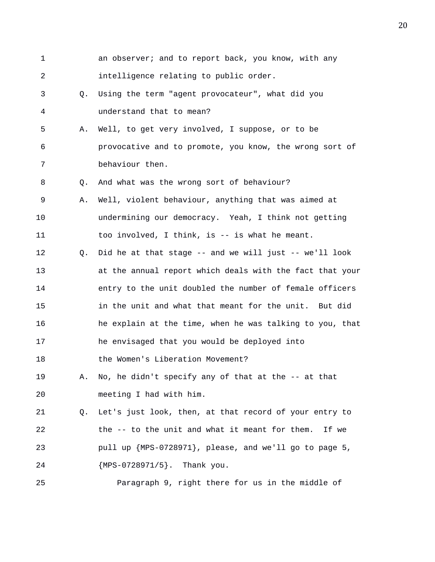| 1  |    | an observer; and to report back, you know, with any      |
|----|----|----------------------------------------------------------|
| 2  |    | intelligence relating to public order.                   |
| 3  | О. | Using the term "agent provocateur", what did you         |
| 4  |    | understand that to mean?                                 |
| 5  | Α. | Well, to get very involved, I suppose, or to be          |
| 6  |    | provocative and to promote, you know, the wrong sort of  |
| 7  |    | behaviour then.                                          |
| 8  | Q. | And what was the wrong sort of behaviour?                |
| 9  | Α. | Well, violent behaviour, anything that was aimed at      |
| 10 |    | undermining our democracy. Yeah, I think not getting     |
| 11 |    | too involved, I think, is -- is what he meant.           |
| 12 | Q. | Did he at that stage -- and we will just -- we'll look   |
| 13 |    | at the annual report which deals with the fact that your |
| 14 |    | entry to the unit doubled the number of female officers  |
| 15 |    | in the unit and what that meant for the unit. But did    |
| 16 |    | he explain at the time, when he was talking to you, that |
| 17 |    | he envisaged that you would be deployed into             |
| 18 |    | the Women's Liberation Movement?                         |
| 19 | Α. | No, he didn't specify any of that at the -- at that      |
| 20 |    | meeting I had with him.                                  |
| 21 | Q. | Let's just look, then, at that record of your entry to   |
| 22 |    | the -- to the unit and what it meant for them.<br>If we  |
| 23 |    | pull up {MPS-0728971}, please, and we'll go to page 5,   |
| 24 |    | ${MPS-0728971/5}.$ Thank you.                            |
| 25 |    | Paragraph 9, right there for us in the middle of         |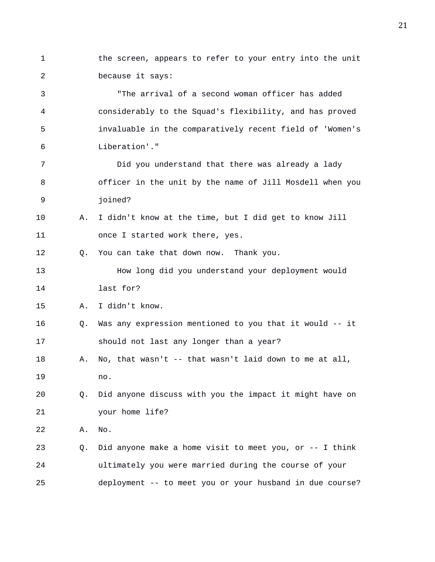1 the screen, appears to refer to your entry into the unit 2 because it says: 3 "The arrival of a second woman officer has added 4 considerably to the Squad's flexibility, and has proved 5 invaluable in the comparatively recent field of 'Women's 6 Liberation'." 7 Did you understand that there was already a lady 8 officer in the unit by the name of Jill Mosdell when you 9 joined? 10 A. I didn't know at the time, but I did get to know Jill 11 once I started work there, yes. 12 Q. You can take that down now. Thank you. 13 How long did you understand your deployment would 14 last for? 15 A. I didn't know. 16 Q. Was any expression mentioned to you that it would -- it 17 should not last any longer than a year? 18 A. No, that wasn't -- that wasn't laid down to me at all, 19 no. 20 Q. Did anyone discuss with you the impact it might have on 21 your home life? 22 A. No. 23 Q. Did anyone make a home visit to meet you, or -- I think 24 ultimately you were married during the course of your 25 deployment -- to meet you or your husband in due course?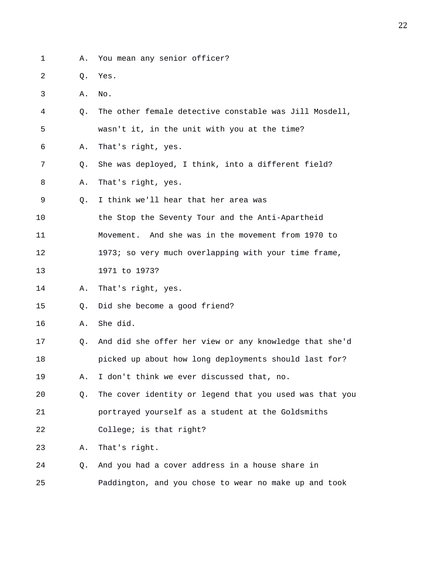- 1 A. You mean any senior officer?
- 2 Q. Yes. 3 A. No. 4 Q. The other female detective constable was Jill Mosdell, 5 wasn't it, in the unit with you at the time? 6 A. That's right, yes. 7 Q. She was deployed, I think, into a different field? 8 A. That's right, yes. 9 Q. I think we'll hear that her area was 10 the Stop the Seventy Tour and the Anti-Apartheid 11 Movement. And she was in the movement from 1970 to 12 1973; so very much overlapping with your time frame, 13 1971 to 1973? 14 A. That's right, yes. 15 Q. Did she become a good friend? 16 A. She did. 17 Q. And did she offer her view or any knowledge that she'd 18 picked up about how long deployments should last for? 19 A. I don't think we ever discussed that, no. 20 Q. The cover identity or legend that you used was that you 21 portrayed yourself as a student at the Goldsmiths 22 College; is that right? 23 A. That's right. 24 Q. And you had a cover address in a house share in 25 Paddington, and you chose to wear no make up and took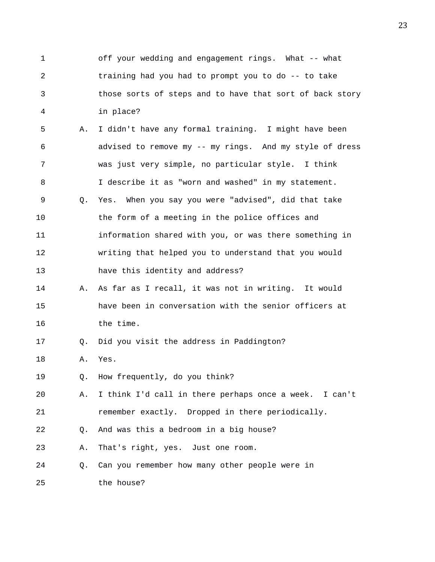1 off your wedding and engagement rings. What -- what 2 training had you had to prompt you to do -- to take 3 those sorts of steps and to have that sort of back story 4 in place? 5 A. I didn't have any formal training. I might have been

6 advised to remove my -- my rings. And my style of dress 7 was just very simple, no particular style. I think 8 I describe it as "worn and washed" in my statement. 9 Q. Yes. When you say you were "advised", did that take 10 the form of a meeting in the police offices and 11 information shared with you, or was there something in 12 writing that helped you to understand that you would 13 have this identity and address?

- 14 A. As far as I recall, it was not in writing. It would 15 have been in conversation with the senior officers at 16 the time.
- 17 Q. Did you visit the address in Paddington?
- 18 A. Yes.
- 19 Q. How frequently, do you think?
- 20 A. I think I'd call in there perhaps once a week. I can't 21 remember exactly. Dropped in there periodically.
- 22 Q. And was this a bedroom in a big house?
- 23 A. That's right, yes. Just one room.
- 24 Q. Can you remember how many other people were in 25 the house?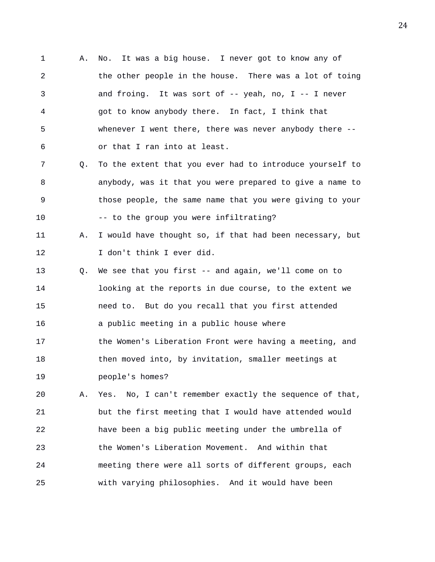1 A. No. It was a big house. I never got to know any of 2 the other people in the house. There was a lot of toing 3 and froing. It was sort of -- yeah, no, I -- I never 4 got to know anybody there. In fact, I think that 5 whenever I went there, there was never anybody there -- 6 or that I ran into at least. 7 Q. To the extent that you ever had to introduce yourself to 8 anybody, was it that you were prepared to give a name to 9 those people, the same name that you were giving to your 10 -- to the group you were infiltrating?

- 11 A. I would have thought so, if that had been necessary, but 12 I don't think I ever did.
- 13 Q. We see that you first -- and again, we'll come on to 14 looking at the reports in due course, to the extent we 15 need to. But do you recall that you first attended 16 a public meeting in a public house where 17 the Women's Liberation Front were having a meeting, and 18 then moved into, by invitation, smaller meetings at 19 people's homes?

20 A. Yes. No, I can't remember exactly the sequence of that, 21 but the first meeting that I would have attended would 22 have been a big public meeting under the umbrella of 23 the Women's Liberation Movement. And within that 24 meeting there were all sorts of different groups, each 25 with varying philosophies. And it would have been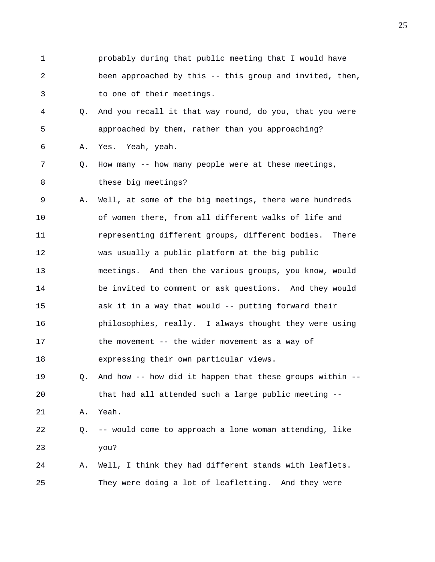1 probably during that public meeting that I would have 2 been approached by this -- this group and invited, then, 3 to one of their meetings. 4 Q. And you recall it that way round, do you, that you were 5 approached by them, rather than you approaching? 6 A. Yes. Yeah, yeah. 7 Q. How many -- how many people were at these meetings, 8 these big meetings? 9 A. Well, at some of the big meetings, there were hundreds 10 of women there, from all different walks of life and 11 **11** representing different groups, different bodies. There 12 was usually a public platform at the big public 13 meetings. And then the various groups, you know, would 14 be invited to comment or ask questions. And they would 15 ask it in a way that would -- putting forward their 16 philosophies, really. I always thought they were using 17 the movement -- the wider movement as a way of 18 expressing their own particular views. 19 Q. And how -- how did it happen that these groups within -- 20 that had all attended such a large public meeting -- 21 A. Yeah. 22 Q. -- would come to approach a lone woman attending, like 23 you? 24 A. Well, I think they had different stands with leaflets. 25 They were doing a lot of leafletting. And they were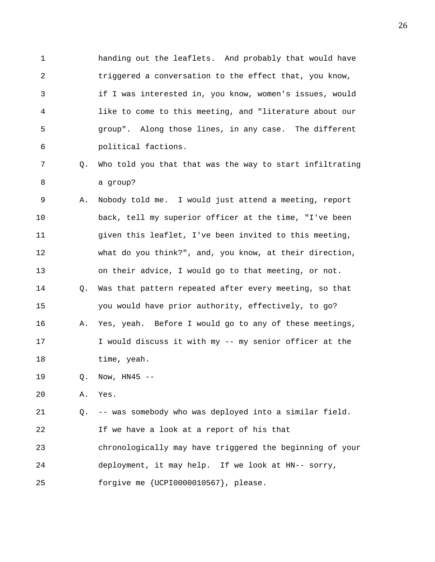1 handing out the leaflets. And probably that would have 2 triggered a conversation to the effect that, you know, 3 if I was interested in, you know, women's issues, would 4 like to come to this meeting, and "literature about our 5 group". Along those lines, in any case. The different 6 political factions.

7 Q. Who told you that that was the way to start infiltrating 8 a group?

9 A. Nobody told me. I would just attend a meeting, report 10 back, tell my superior officer at the time, "I've been 11 given this leaflet, I've been invited to this meeting, 12 what do you think?", and, you know, at their direction, 13 on their advice, I would go to that meeting, or not. 14 Q. Was that pattern repeated after every meeting, so that 15 you would have prior authority, effectively, to go? 16 A. Yes, yeah. Before I would go to any of these meetings, 17 I would discuss it with my -- my senior officer at the 18 time, yeah.

- 19 Q. Now, HN45 --
- 20 A. Yes.

21 Q. -- was somebody who was deployed into a similar field. 22 If we have a look at a report of his that 23 chronologically may have triggered the beginning of your 24 deployment, it may help. If we look at HN-- sorry, 25 forgive me {UCPI0000010567}, please.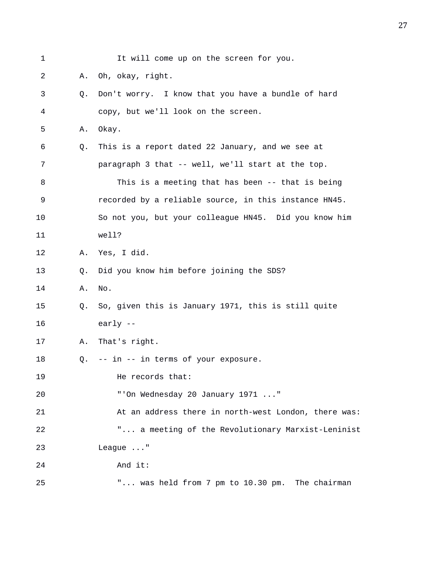| 1  |    | It will come up on the screen for you.                |
|----|----|-------------------------------------------------------|
| 2  | Α. | Oh, okay, right.                                      |
| 3  | Q. | Don't worry. I know that you have a bundle of hard    |
| 4  |    | copy, but we'll look on the screen.                   |
| 5  | Α. | Okay.                                                 |
| 6  | Q. | This is a report dated 22 January, and we see at      |
| 7  |    | paragraph 3 that -- well, we'll start at the top.     |
| 8  |    | This is a meeting that has been -- that is being      |
| 9  |    | recorded by a reliable source, in this instance HN45. |
| 10 |    | So not you, but your colleague HN45. Did you know him |
| 11 |    | well?                                                 |
| 12 | Α. | Yes, I did.                                           |
| 13 | Q. | Did you know him before joining the SDS?              |
| 14 | Α. | No.                                                   |
| 15 | Q. | So, given this is January 1971, this is still quite   |
| 16 |    | early $--$                                            |
| 17 | Α. | That's right.                                         |
| 18 | Q. | -- in -- in terms of your exposure.                   |
| 19 |    | He records that:                                      |
| 20 |    | "'On Wednesday 20 January 1971 "                      |
| 21 |    | At an address there in north-west London, there was:  |
| 22 |    | " a meeting of the Revolutionary Marxist-Leninist     |
| 23 |    | League "                                              |
| 24 |    | And it:                                               |
| 25 |    | " was held from 7 pm to 10.30 pm. The chairman        |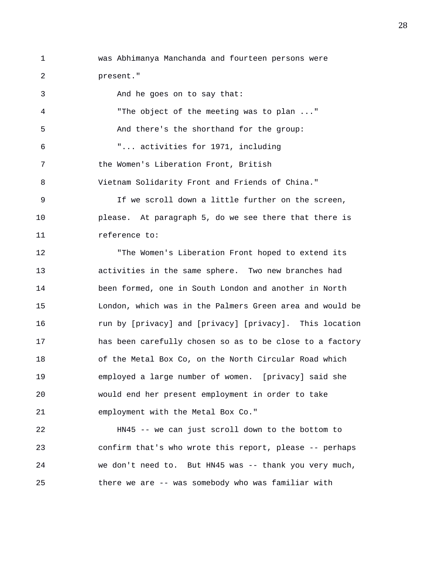1 was Abhimanya Manchanda and fourteen persons were 2 present." 3 And he goes on to say that: 4 "The object of the meeting was to plan ..." 5 And there's the shorthand for the group: 6 "... activities for 1971, including 7 the Women's Liberation Front, British 8 Vietnam Solidarity Front and Friends of China." 9 If we scroll down a little further on the screen, 10 please. At paragraph 5, do we see there that there is 11 reference to: 12 "The Women's Liberation Front hoped to extend its 13 activities in the same sphere. Two new branches had 14 been formed, one in South London and another in North 15 London, which was in the Palmers Green area and would be 16 run by [privacy] and [privacy] [privacy]. This location 17 has been carefully chosen so as to be close to a factory 18 of the Metal Box Co, on the North Circular Road which 19 employed a large number of women. [privacy] said she 20 would end her present employment in order to take 21 employment with the Metal Box Co." 22 HN45 -- we can just scroll down to the bottom to 23 confirm that's who wrote this report, please -- perhaps 24 we don't need to. But HN45 was -- thank you very much, 25 there we are -- was somebody who was familiar with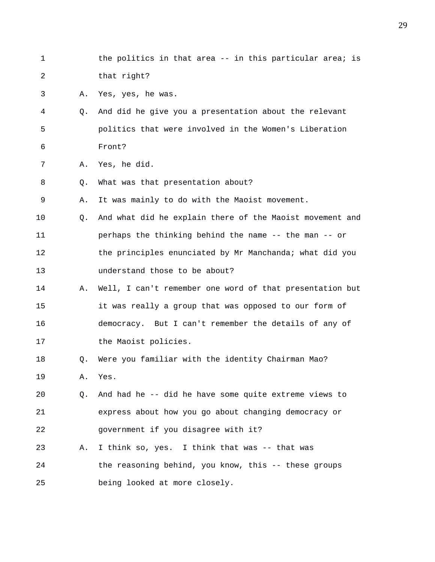1 the politics in that area -- in this particular area; is 2 that right?

3 A. Yes, yes, he was.

4 Q. And did he give you a presentation about the relevant 5 politics that were involved in the Women's Liberation 6 Front?

7 A. Yes, he did.

8 Q. What was that presentation about?

9 A. It was mainly to do with the Maoist movement.

- 10 Q. And what did he explain there of the Maoist movement and 11 perhaps the thinking behind the name -- the man -- or 12 the principles enunciated by Mr Manchanda; what did you 13 understand those to be about?
- 14 A. Well, I can't remember one word of that presentation but 15 it was really a group that was opposed to our form of 16 democracy. But I can't remember the details of any of 17 the Maoist policies.
- 18 Q. Were you familiar with the identity Chairman Mao? 19 A. Yes.
- 20 Q. And had he -- did he have some quite extreme views to 21 express about how you go about changing democracy or 22 government if you disagree with it?
- 23 A. I think so, yes. I think that was -- that was 24 the reasoning behind, you know, this -- these groups 25 being looked at more closely.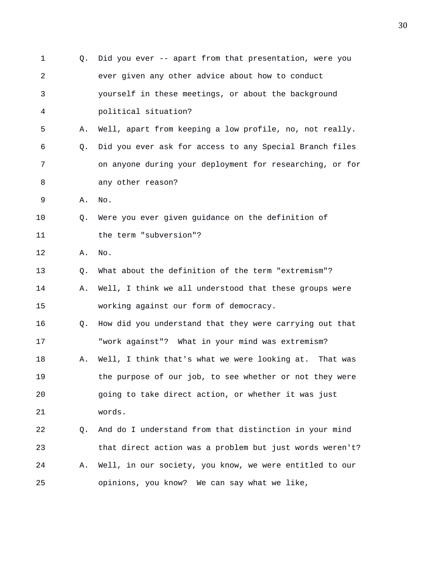| 1  | 0. | Did you ever -- apart from that presentation, were you   |
|----|----|----------------------------------------------------------|
| 2  |    | ever given any other advice about how to conduct         |
| 3  |    | yourself in these meetings, or about the background      |
| 4  |    | political situation?                                     |
| 5  | Α. | Well, apart from keeping a low profile, no, not really.  |
| 6  | Q. | Did you ever ask for access to any Special Branch files  |
| 7  |    | on anyone during your deployment for researching, or for |
| 8  |    | any other reason?                                        |
| 9  | Α. | No.                                                      |
| 10 | Q. | Were you ever given guidance on the definition of        |
| 11 |    | the term "subversion"?                                   |
| 12 | Α. | No.                                                      |
| 13 | Q. | What about the definition of the term "extremism"?       |
| 14 | Α. | Well, I think we all understood that these groups were   |
| 15 |    | working against our form of democracy.                   |
| 16 | Q. | How did you understand that they were carrying out that  |
| 17 |    | "work against"? What in your mind was extremism?         |
| 18 | Α. | Well, I think that's what we were looking at. That was   |
| 19 |    | the purpose of our job, to see whether or not they were  |
| 20 |    | going to take direct action, or whether it was just      |
| 21 |    | words.                                                   |
| 22 | Q. | And do I understand from that distinction in your mind   |
| 23 |    | that direct action was a problem but just words weren't? |
| 24 | Α. | Well, in our society, you know, we were entitled to our  |
| 25 |    | opinions, you know? We can say what we like,             |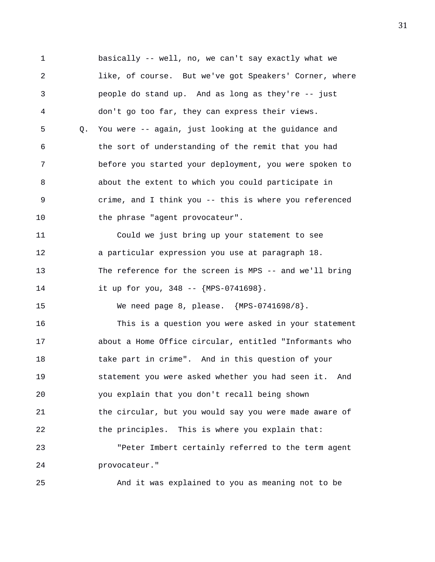1 basically -- well, no, we can't say exactly what we 2 like, of course. But we've got Speakers' Corner, where 3 people do stand up. And as long as they're -- just 4 don't go too far, they can express their views. 5 Q. You were -- again, just looking at the guidance and 6 the sort of understanding of the remit that you had 7 before you started your deployment, you were spoken to 8 about the extent to which you could participate in 9 crime, and I think you -- this is where you referenced 10 the phrase "agent provocateur". 11 Could we just bring up your statement to see 12 a particular expression you use at paragraph 18. 13 The reference for the screen is MPS -- and we'll bring 14 it up for you, 348 -- {MPS-0741698}. 15 We need page 8, please. {MPS-0741698/8}. 16 This is a question you were asked in your statement 17 about a Home Office circular, entitled "Informants who 18 take part in crime". And in this question of your 19 statement you were asked whether you had seen it. And 20 you explain that you don't recall being shown 21 the circular, but you would say you were made aware of 22 the principles. This is where you explain that: 23 "Peter Imbert certainly referred to the term agent 24 provocateur." 25 And it was explained to you as meaning not to be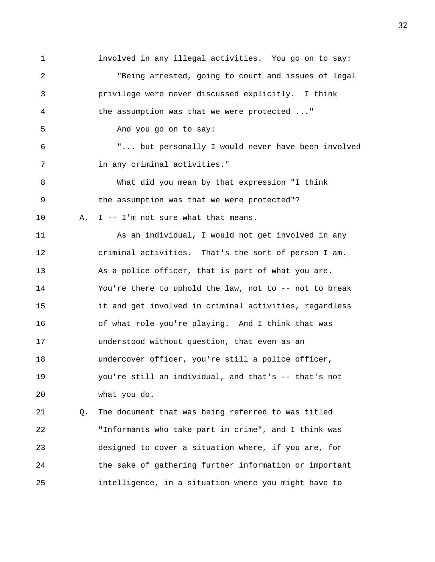1 involved in any illegal activities. You go on to say: 2 "Being arrested, going to court and issues of legal 3 privilege were never discussed explicitly. I think 4 the assumption was that we were protected ..." 5 And you go on to say: 6 "... but personally I would never have been involved 7 in any criminal activities." 8 What did you mean by that expression "I think 9 the assumption was that we were protected"? 10 A. I -- I'm not sure what that means. 11 As an individual, I would not get involved in any 12 criminal activities. That's the sort of person I am. 13 As a police officer, that is part of what you are. 14 You're there to uphold the law, not to -- not to break 15 it and get involved in criminal activities, regardless 16 of what role you're playing. And I think that was 17 understood without question, that even as an 18 undercover officer, you're still a police officer, 19 you're still an individual, and that's -- that's not 20 what you do. 21 Q. The document that was being referred to was titled 22 "Informants who take part in crime", and I think was

23 designed to cover a situation where, if you are, for 24 the sake of gathering further information or important 25 intelligence, in a situation where you might have to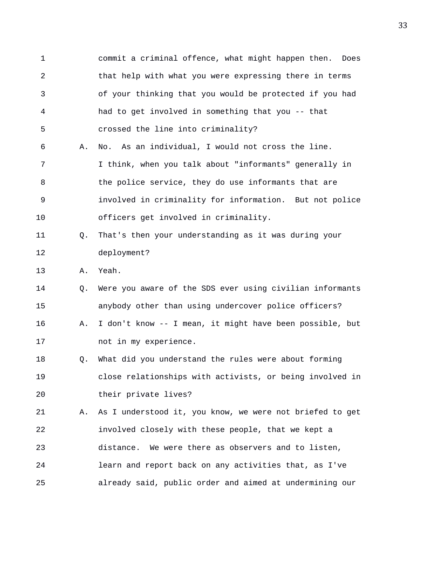1 commit a criminal offence, what might happen then. Does 2 that help with what you were expressing there in terms 3 of your thinking that you would be protected if you had 4 had to get involved in something that you -- that 5 crossed the line into criminality? 6 A. No. As an individual, I would not cross the line. 7 I think, when you talk about "informants" generally in 8 the police service, they do use informants that are 9 involved in criminality for information. But not police 10 officers get involved in criminality. 11 Q. That's then your understanding as it was during your 12 deployment? 13 A. Yeah. 14 Q. Were you aware of the SDS ever using civilian informants 15 anybody other than using undercover police officers? 16 A. I don't know -- I mean, it might have been possible, but 17 mot in my experience. 18 Q. What did you understand the rules were about forming 19 close relationships with activists, or being involved in 20 their private lives? 21 A. As I understood it, you know, we were not briefed to get 22 involved closely with these people, that we kept a 23 distance. We were there as observers and to listen, 24 learn and report back on any activities that, as I've 25 already said, public order and aimed at undermining our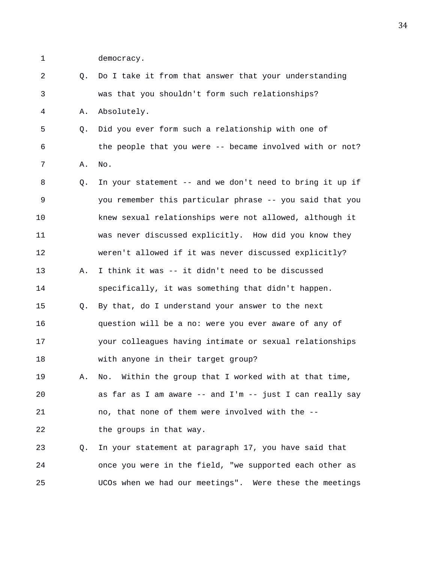1 democracy.

2 Q. Do I take it from that answer that your understanding 3 was that you shouldn't form such relationships? 4 A. Absolutely. 5 Q. Did you ever form such a relationship with one of 6 the people that you were -- became involved with or not? 7 A. No. 8 Q. In your statement -- and we don't need to bring it up if 9 you remember this particular phrase -- you said that you 10 knew sexual relationships were not allowed, although it 11 was never discussed explicitly. How did you know they 12 weren't allowed if it was never discussed explicitly? 13 A. I think it was -- it didn't need to be discussed 14 specifically, it was something that didn't happen. 15 Q. By that, do I understand your answer to the next 16 question will be a no: were you ever aware of any of 17 your colleagues having intimate or sexual relationships 18 with anyone in their target group? 19 A. No. Within the group that I worked with at that time, 20 as far as I am aware -- and I'm -- just I can really say 21 no, that none of them were involved with the -- 22 the groups in that way. 23 Q. In your statement at paragraph 17, you have said that 24 once you were in the field, "we supported each other as 25 UCOs when we had our meetings". Were these the meetings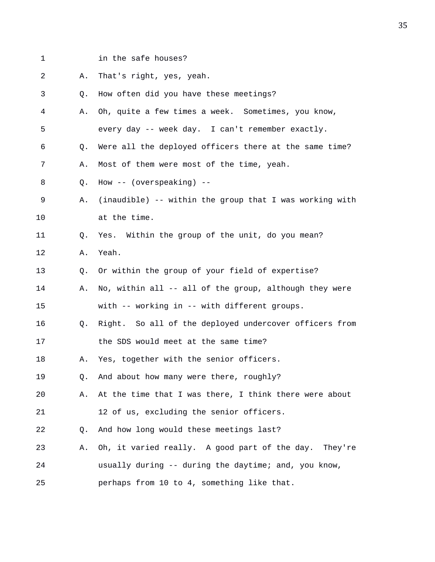- 
- 1 in the safe houses?

| $\overline{a}$ | Α. | That's right, yes, yeah.                                |
|----------------|----|---------------------------------------------------------|
| 3              | Q. | How often did you have these meetings?                  |
| 4              | Α. | Oh, quite a few times a week. Sometimes, you know,      |
| 5              |    | every day -- week day. I can't remember exactly.        |
| 6              | Q. | Were all the deployed officers there at the same time?  |
| 7              | Α. | Most of them were most of the time, yeah.               |
| 8              | Q. | How $--$ (overspeaking) $--$                            |
| 9              | Α. | (inaudible) -- within the group that I was working with |
| 10             |    | at the time.                                            |
| 11             | Q. | Yes. Within the group of the unit, do you mean?         |
| 12             | Α. | Yeah.                                                   |
| 13             | Q. | Or within the group of your field of expertise?         |
| 14             | Α. | No, within all -- all of the group, although they were  |
| 15             |    | with -- working in -- with different groups.            |
| 16             | Q. | Right. So all of the deployed undercover officers from  |
| 17             |    | the SDS would meet at the same time?                    |
| 18             | Α. | Yes, together with the senior officers.                 |
| 19             | Q. | And about how many were there, roughly?                 |
| 20             | Α. | At the time that I was there, I think there were about  |
| 21             |    | 12 of us, excluding the senior officers.                |
| 22             | Q. | And how long would these meetings last?                 |
| 23             | Α. | Oh, it varied really. A good part of the day. They're   |
| 24             |    | usually during -- during the daytime; and, you know,    |
| 25             |    | perhaps from 10 to 4, something like that.              |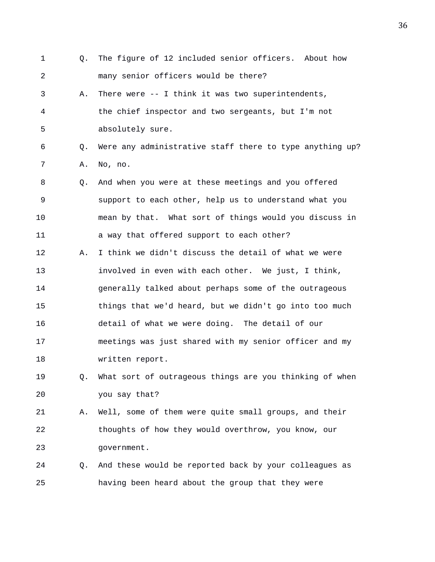- 1 Q. The figure of 12 included senior officers. About how 2 many senior officers would be there? 3 A. There were -- I think it was two superintendents, 4 the chief inspector and two sergeants, but I'm not 5 absolutely sure. 6 Q. Were any administrative staff there to type anything up? 7 A. No, no. 8 Q. And when you were at these meetings and you offered 9 support to each other, help us to understand what you 10 mean by that. What sort of things would you discuss in 11 a way that offered support to each other? 12 A. I think we didn't discuss the detail of what we were 13 involved in even with each other. We just, I think, 14 generally talked about perhaps some of the outrageous 15 things that we'd heard, but we didn't go into too much 16 detail of what we were doing. The detail of our 17 meetings was just shared with my senior officer and my 18 written report. 19 Q. What sort of outrageous things are you thinking of when 20 you say that? 21 A. Well, some of them were quite small groups, and their 22 thoughts of how they would overthrow, you know, our 23 government.
- 24 Q. And these would be reported back by your colleagues as 25 having been heard about the group that they were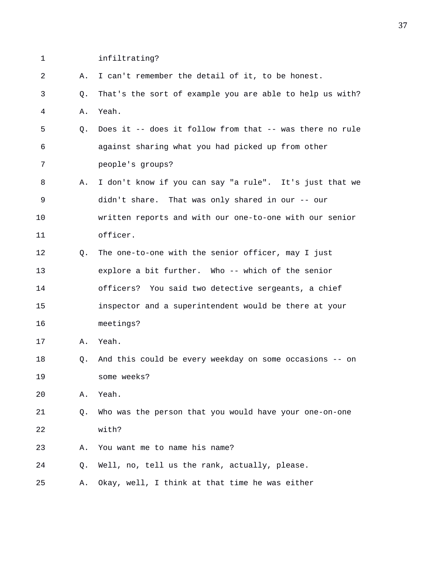- 1 infiltrating?
- 2 A. I can't remember the detail of it, to be honest.
- 3 Q. That's the sort of example you are able to help us with? 4 A. Yeah.
- 5 Q. Does it -- does it follow from that -- was there no rule 6 against sharing what you had picked up from other 7 people's groups?
- 8 A. I don't know if you can say "a rule". It's just that we 9 didn't share. That was only shared in our -- our 10 written reports and with our one-to-one with our senior 11 officer.
- 12 Q. The one-to-one with the senior officer, may I just 13 explore a bit further. Who -- which of the senior 14 officers? You said two detective sergeants, a chief 15 inspector and a superintendent would be there at your 16 meetings?
- 17 A. Yeah.
- 18 Q. And this could be every weekday on some occasions -- on 19 some weeks?
- 20 A. Yeah.
- 21 Q. Who was the person that you would have your one-on-one 22 with?
- 23 A. You want me to name his name?
- 24 Q. Well, no, tell us the rank, actually, please.
- 25 A. Okay, well, I think at that time he was either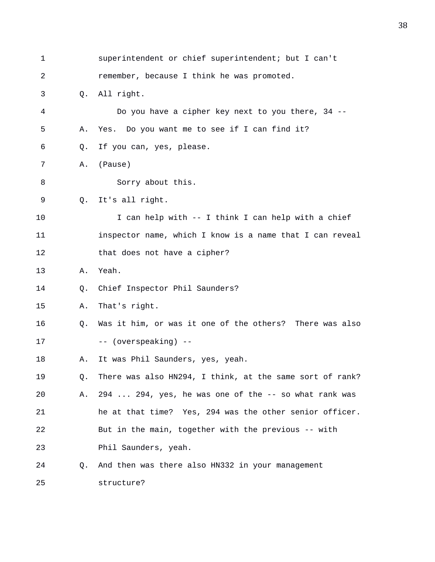| $\mathbf 1$ |    | superintendent or chief superintendent; but I can't      |
|-------------|----|----------------------------------------------------------|
| 2           |    | remember, because I think he was promoted.               |
| 3           | Q. | All right.                                               |
| 4           |    | Do you have a cipher key next to you there, 34 --        |
| 5           | Α. | Yes. Do you want me to see if I can find it?             |
| 6           | Q. | If you can, yes, please.                                 |
| 7           | Α. | (Pause)                                                  |
| 8           |    | Sorry about this.                                        |
| 9           | Q. | It's all right.                                          |
| 10          |    | I can help with -- I think I can help with a chief       |
| 11          |    | inspector name, which I know is a name that I can reveal |
| 12          |    | that does not have a cipher?                             |
| 13          | Α. | Yeah.                                                    |
| 14          | Q. | Chief Inspector Phil Saunders?                           |
| 15          | Α. | That's right.                                            |
| 16          | 0. | Was it him, or was it one of the others? There was also  |
| 17          |    | -- (overspeaking) --                                     |
| 18          | Α. | It was Phil Saunders, yes, yeah.                         |
| 19          | Q. | There was also HN294, I think, at the same sort of rank? |
| 20          | Α. | 294  294, yes, he was one of the -- so what rank was     |
| 21          |    | he at that time? Yes, 294 was the other senior officer.  |
| 22          |    | But in the main, together with the previous -- with      |
| 23          |    | Phil Saunders, yeah.                                     |
| 24          | Q. | And then was there also HN332 in your management         |
| 25          |    | structure?                                               |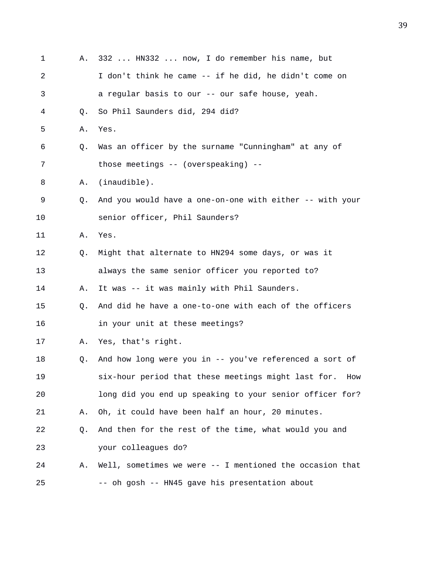| 1              | Α. | 332  HN332  now, I do remember his name, but               |
|----------------|----|------------------------------------------------------------|
| $\overline{a}$ |    | I don't think he came -- if he did, he didn't come on      |
| 3              |    | a regular basis to our -- our safe house, yeah.            |
| 4              | Q. | So Phil Saunders did, 294 did?                             |
| 5              | Α. | Yes.                                                       |
| 6              | Q. | Was an officer by the surname "Cunningham" at any of       |
| 7              |    | those meetings -- (overspeaking) --                        |
| 8              | Α. | (inaudible).                                               |
| 9              | Q. | And you would have a one-on-one with either -- with your   |
| 10             |    | senior officer, Phil Saunders?                             |
| 11             | Α. | Yes.                                                       |
| 12             | Q. | Might that alternate to HN294 some days, or was it         |
| 13             |    | always the same senior officer you reported to?            |
| 14             | Α. | It was -- it was mainly with Phil Saunders.                |
| 15             | Q. | And did he have a one-to-one with each of the officers     |
| 16             |    | in your unit at these meetings?                            |
| 17             | Α. | Yes, that's right.                                         |
| 18             | Q. | And how long were you in -- you've referenced a sort of    |
| 19             |    | six-hour period that these meetings might last for.<br>How |
| 20             |    | long did you end up speaking to your senior officer for?   |
| 21             | Α. | Oh, it could have been half an hour, 20 minutes.           |
| 22             | Q. | And then for the rest of the time, what would you and      |
| 23             |    | your colleagues do?                                        |
| 24             | Α. | Well, sometimes we were -- I mentioned the occasion that   |
| 25             |    | -- oh gosh -- HN45 gave his presentation about             |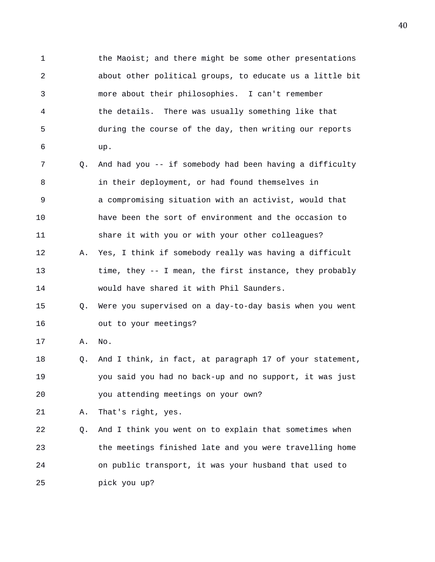1 the Maoist; and there might be some other presentations 2 about other political groups, to educate us a little bit 3 more about their philosophies. I can't remember 4 the details. There was usually something like that 5 during the course of the day, then writing our reports 6 up.

7 Q. And had you -- if somebody had been having a difficulty 8 in their deployment, or had found themselves in 9 a compromising situation with an activist, would that 10 have been the sort of environment and the occasion to 11 share it with you or with your other colleagues?

12 A. Yes, I think if somebody really was having a difficult 13 time, they -- I mean, the first instance, they probably 14 would have shared it with Phil Saunders.

## 15 Q. Were you supervised on a day-to-day basis when you went 16 out to your meetings?

17 A. No.

18 Q. And I think, in fact, at paragraph 17 of your statement, 19 you said you had no back-up and no support, it was just 20 you attending meetings on your own?

21 A. That's right, yes.

22 Q. And I think you went on to explain that sometimes when 23 the meetings finished late and you were travelling home 24 on public transport, it was your husband that used to 25 pick you up?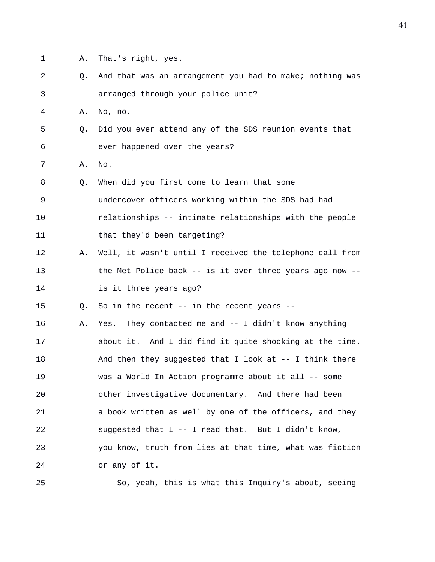- 1 A. That's right, yes.
- 2 Q. And that was an arrangement you had to make; nothing was 3 arranged through your police unit?
- 4 A. No, no.
- 5 Q. Did you ever attend any of the SDS reunion events that 6 ever happened over the years?
- 7 A. No.
- 8 Q. When did you first come to learn that some
- 9 undercover officers working within the SDS had had
- 10 relationships -- intimate relationships with the people 11 that they'd been targeting?
- 12 A. Well, it wasn't until I received the telephone call from 13 the Met Police back -- is it over three years ago now -- 14 is it three years ago?
- 15 Q. So in the recent -- in the recent years --

16 A. Yes. They contacted me and -- I didn't know anything 17 about it. And I did find it quite shocking at the time. 18 And then they suggested that I look at -- I think there 19 was a World In Action programme about it all -- some 20 other investigative documentary. And there had been 21 a book written as well by one of the officers, and they 22 suggested that I -- I read that. But I didn't know, 23 you know, truth from lies at that time, what was fiction 24 or any of it.

25 So, yeah, this is what this Inquiry's about, seeing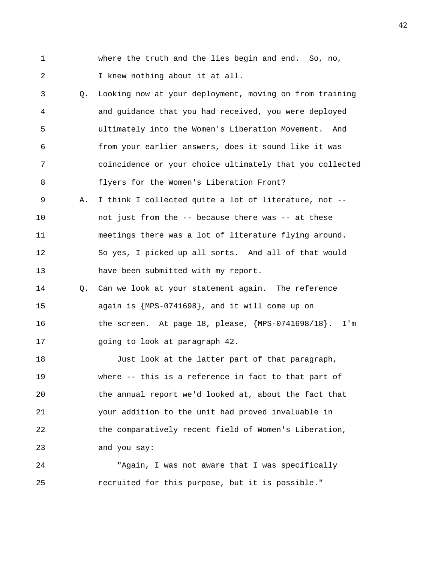- 1 where the truth and the lies begin and end. So, no, 2 I knew nothing about it at all.
- 3 Q. Looking now at your deployment, moving on from training 4 and guidance that you had received, you were deployed 5 ultimately into the Women's Liberation Movement. And 6 from your earlier answers, does it sound like it was 7 coincidence or your choice ultimately that you collected 8 flyers for the Women's Liberation Front?
- 9 A. I think I collected quite a lot of literature, not -- 10 not just from the -- because there was -- at these 11 meetings there was a lot of literature flying around. 12 So yes, I picked up all sorts. And all of that would 13 have been submitted with my report.
- 14 Q. Can we look at your statement again. The reference 15 again is {MPS-0741698}, and it will come up on 16 the screen. At page 18, please, {MPS-0741698/18}. I'm 17 going to look at paragraph 42.

18 Just look at the latter part of that paragraph, 19 where -- this is a reference in fact to that part of 20 the annual report we'd looked at, about the fact that 21 your addition to the unit had proved invaluable in 22 the comparatively recent field of Women's Liberation, 23 and you say:

24 "Again, I was not aware that I was specifically 25 recruited for this purpose, but it is possible."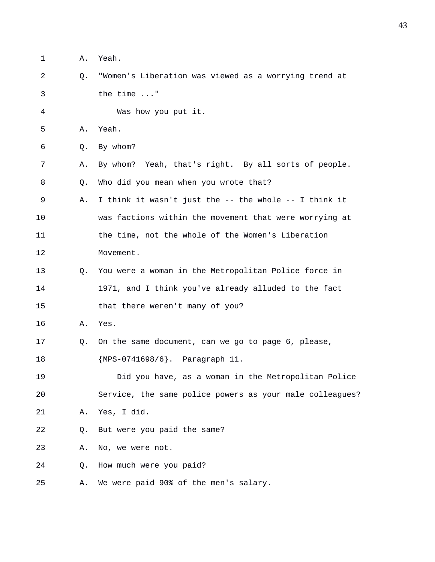1 A. Yeah. 2 Q. "Women's Liberation was viewed as a worrying trend at 3 the time ..." 4 Was how you put it. 5 A. Yeah. 6 Q. By whom? 7 A. By whom? Yeah, that's right. By all sorts of people. 8 Q. Who did you mean when you wrote that? 9 A. I think it wasn't just the -- the whole -- I think it 10 was factions within the movement that were worrying at 11 the time, not the whole of the Women's Liberation 12 Movement. 13 Q. You were a woman in the Metropolitan Police force in 14 1971, and I think you've already alluded to the fact 15 that there weren't many of you? 16 A. Yes. 17 Q. On the same document, can we go to page 6, please, 18 {MPS-0741698/6}. Paragraph 11. 19 Did you have, as a woman in the Metropolitan Police 20 Service, the same police powers as your male colleagues? 21 A. Yes, I did. 22 Q. But were you paid the same? 23 A. No, we were not. 24 Q. How much were you paid? 25 A. We were paid 90% of the men's salary.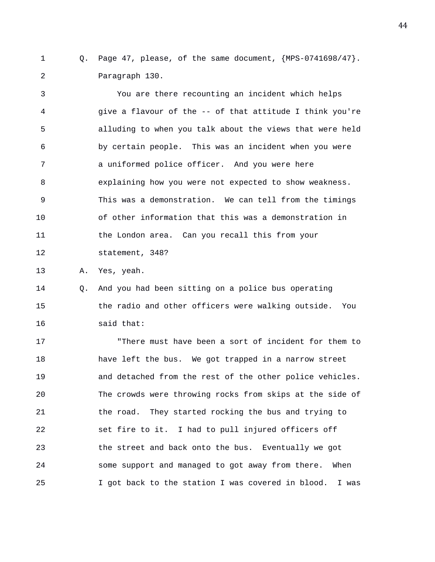1 Q. Page 47, please, of the same document, {MPS-0741698/47}. 2 Paragraph 130.

3 You are there recounting an incident which helps 4 give a flavour of the -- of that attitude I think you're 5 alluding to when you talk about the views that were held 6 by certain people. This was an incident when you were 7 a uniformed police officer. And you were here 8 explaining how you were not expected to show weakness. 9 This was a demonstration. We can tell from the timings 10 of other information that this was a demonstration in 11 the London area. Can you recall this from your 12 statement, 348?

13 A. Yes, yeah.

14 Q. And you had been sitting on a police bus operating 15 the radio and other officers were walking outside. You 16 said that:

17 "There must have been a sort of incident for them to 18 have left the bus. We got trapped in a narrow street 19 and detached from the rest of the other police vehicles. 20 The crowds were throwing rocks from skips at the side of 21 the road. They started rocking the bus and trying to 22 set fire to it. I had to pull injured officers off 23 the street and back onto the bus. Eventually we got 24 some support and managed to got away from there. When 25 I got back to the station I was covered in blood. I was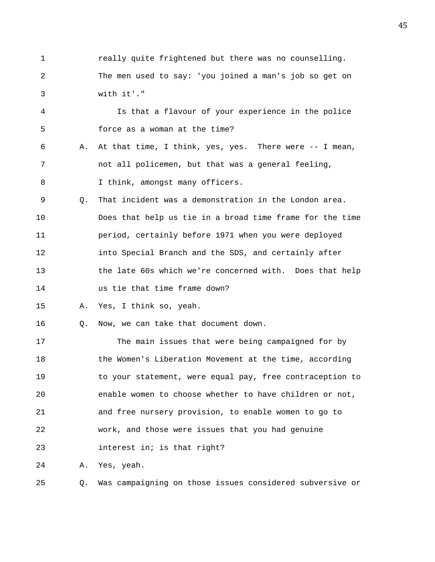1 really quite frightened but there was no counselling. 2 The men used to say: 'you joined a man's job so get on 3 with it'."

4 Is that a flavour of your experience in the police 5 force as a woman at the time?

- 6 A. At that time, I think, yes, yes. There were -- I mean, 7 not all policemen, but that was a general feeling, 8 I think, amongst many officers.
- 9 Q. That incident was a demonstration in the London area. 10 Does that help us tie in a broad time frame for the time 11 period, certainly before 1971 when you were deployed 12 into Special Branch and the SDS, and certainly after 13 the late 60s which we're concerned with. Does that help 14 us tie that time frame down?
- 15 A. Yes, I think so, yeah.

16 Q. Now, we can take that document down.

17 The main issues that were being campaigned for by 18 the Women's Liberation Movement at the time, according 19 to your statement, were equal pay, free contraception to 20 enable women to choose whether to have children or not, 21 and free nursery provision, to enable women to go to 22 work, and those were issues that you had genuine 23 interest in; is that right?

24 A. Yes, yeah.

25 Q. Was campaigning on those issues considered subversive or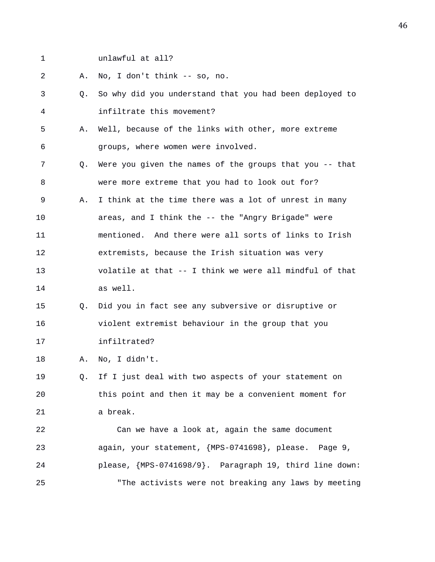- 
- 1 unlawful at all?

2 A. No, I don't think -- so, no.

- 3 Q. So why did you understand that you had been deployed to 4 infiltrate this movement?
- 5 A. Well, because of the links with other, more extreme 6 groups, where women were involved.
- 7 Q. Were you given the names of the groups that you -- that 8 were more extreme that you had to look out for?
- 9 A. I think at the time there was a lot of unrest in many 10 areas, and I think the -- the "Angry Brigade" were 11 mentioned. And there were all sorts of links to Irish 12 extremists, because the Irish situation was very 13 volatile at that -- I think we were all mindful of that 14 as well.
- 15 Q. Did you in fact see any subversive or disruptive or 16 violent extremist behaviour in the group that you 17 infiltrated?
- 18 A. No, I didn't.

19 Q. If I just deal with two aspects of your statement on 20 this point and then it may be a convenient moment for 21 a break.

22 Can we have a look at, again the same document 23 again, your statement, {MPS-0741698}, please. Page 9, 24 please, {MPS-0741698/9}. Paragraph 19, third line down: 25 "The activists were not breaking any laws by meeting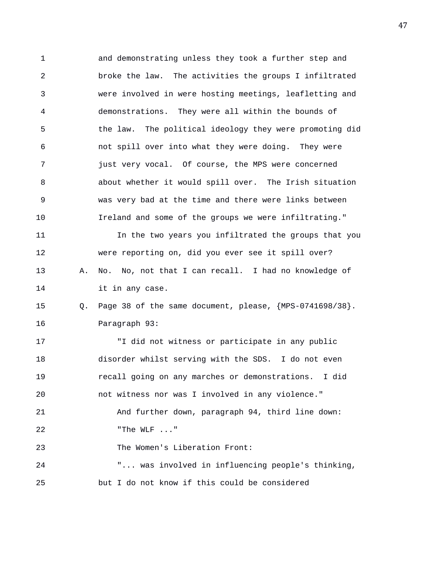1 and demonstrating unless they took a further step and 2 broke the law. The activities the groups I infiltrated 3 were involved in were hosting meetings, leafletting and 4 demonstrations. They were all within the bounds of 5 the law. The political ideology they were promoting did 6 not spill over into what they were doing. They were 7 just very vocal. Of course, the MPS were concerned 8 about whether it would spill over. The Irish situation 9 was very bad at the time and there were links between 10 Ireland and some of the groups we were infiltrating." 11 In the two years you infiltrated the groups that you 12 were reporting on, did you ever see it spill over? 13 A. No. No, not that I can recall. I had no knowledge of 14 it in any case. 15 Q. Page 38 of the same document, please, {MPS-0741698/38}. 16 Paragraph 93: 17 "I did not witness or participate in any public 18 disorder whilst serving with the SDS. I do not even 19 recall going on any marches or demonstrations. I did 20 not witness nor was I involved in any violence." 21 And further down, paragraph 94, third line down: 22 "The WLF ..." 23 The Women's Liberation Front: 24 "... was involved in influencing people's thinking, 25 but I do not know if this could be considered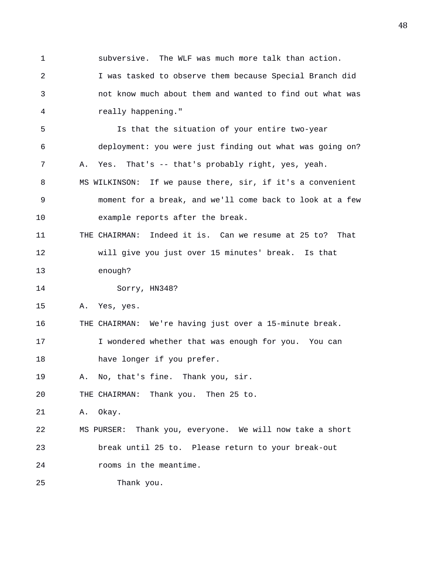1 subversive. The WLF was much more talk than action. 2 I was tasked to observe them because Special Branch did 3 not know much about them and wanted to find out what was 4 really happening." 5 Is that the situation of your entire two-year 6 deployment: you were just finding out what was going on? 7 A. Yes. That's -- that's probably right, yes, yeah. 8 MS WILKINSON: If we pause there, sir, if it's a convenient 9 moment for a break, and we'll come back to look at a few 10 example reports after the break. 11 THE CHAIRMAN: Indeed it is. Can we resume at 25 to? That 12 will give you just over 15 minutes' break. Is that 13 enough? 14 Sorry, HN348? 15 A. Yes, yes. 16 THE CHAIRMAN: We're having just over a 15-minute break. 17 I wondered whether that was enough for you. You can 18 have longer if you prefer. 19 A. No, that's fine. Thank you, sir. 20 THE CHAIRMAN: Thank you. Then 25 to. 21 A. Okay. 22 MS PURSER: Thank you, everyone. We will now take a short 23 break until 25 to. Please return to your break-out 24 rooms in the meantime.

25 Thank you.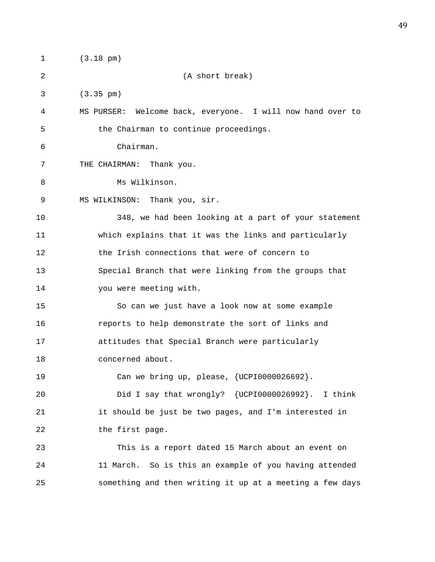1 (3.18 pm) 2 (A short break) 3 (3.35 pm) 4 MS PURSER: Welcome back, everyone. I will now hand over to 5 the Chairman to continue proceedings. 6 Chairman. 7 THE CHAIRMAN: Thank you. 8 Ms Wilkinson. 9 MS WILKINSON: Thank you, sir. 10 348, we had been looking at a part of your statement 11 which explains that it was the links and particularly 12 the Irish connections that were of concern to 13 Special Branch that were linking from the groups that 14 you were meeting with. 15 So can we just have a look now at some example 16 reports to help demonstrate the sort of links and 17 attitudes that Special Branch were particularly 18 concerned about. 19 Can we bring up, please, {UCPI0000026692}. 20 Did I say that wrongly? {UCPI0000026992}. I think 21 it should be just be two pages, and I'm interested in 22 the first page. 23 This is a report dated 15 March about an event on 24 11 March. So is this an example of you having attended 25 something and then writing it up at a meeting a few days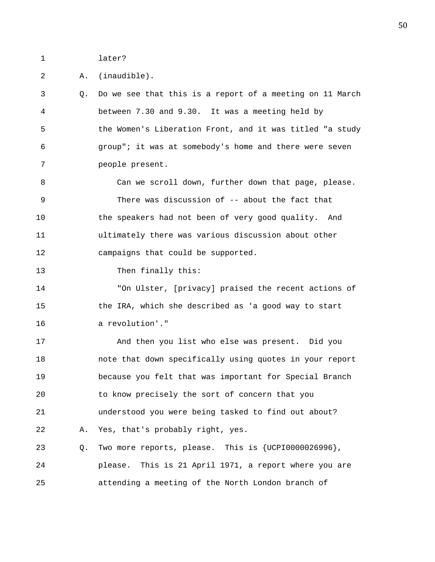1 later?

2 A. (inaudible).

3 Q. Do we see that this is a report of a meeting on 11 March 4 between 7.30 and 9.30. It was a meeting held by 5 the Women's Liberation Front, and it was titled "a study 6 group"; it was at somebody's home and there were seven 7 people present.

8 Can we scroll down, further down that page, please. 9 There was discussion of -- about the fact that 10 the speakers had not been of very good quality. And 11 ultimately there was various discussion about other 12 campaigns that could be supported.

13 Then finally this:

14 "On Ulster, [privacy] praised the recent actions of 15 the IRA, which she described as 'a good way to start 16 a revolution'."

17 And then you list who else was present. Did you 18 note that down specifically using quotes in your report 19 because you felt that was important for Special Branch 20 to know precisely the sort of concern that you 21 understood you were being tasked to find out about? 22 A. Yes, that's probably right, yes. 23 Q. Two more reports, please. This is {UCPI0000026996},

24 please. This is 21 April 1971, a report where you are 25 attending a meeting of the North London branch of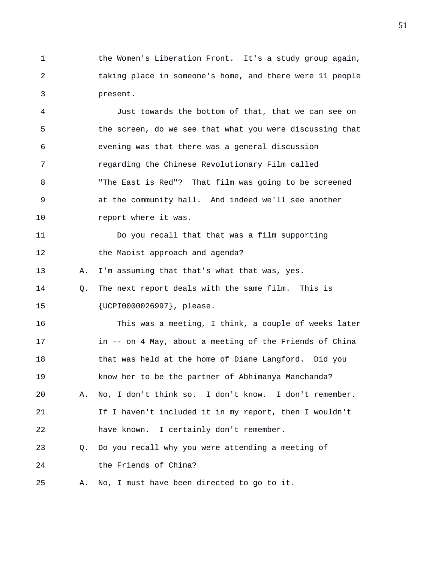1 the Women's Liberation Front. It's a study group again, 2 taking place in someone's home, and there were 11 people 3 present.

4 Just towards the bottom of that, that we can see on 5 the screen, do we see that what you were discussing that 6 evening was that there was a general discussion 7 regarding the Chinese Revolutionary Film called 8 "The East is Red"? That film was going to be screened 9 at the community hall. And indeed we'll see another 10 report where it was.

11 Do you recall that that was a film supporting 12 the Maoist approach and agenda? 13 A. I'm assuming that that's what that was, yes. 14 Q. The next report deals with the same film. This is 15 {UCPI0000026997}, please. 16 This was a meeting, I think, a couple of weeks later 17 in -- on 4 May, about a meeting of the Friends of China 18 that was held at the home of Diane Langford. Did you 19 know her to be the partner of Abhimanya Manchanda? 20 A. No, I don't think so. I don't know. I don't remember. 21 If I haven't included it in my report, then I wouldn't 22 have known. I certainly don't remember. 23 Q. Do you recall why you were attending a meeting of 24 the Friends of China?

25 A. No, I must have been directed to go to it.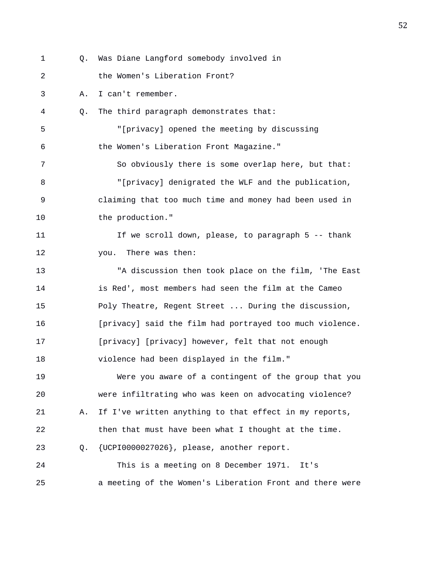1 Q. Was Diane Langford somebody involved in 2 the Women's Liberation Front? 3 A. I can't remember. 4 Q. The third paragraph demonstrates that: 5 "[privacy] opened the meeting by discussing 6 the Women's Liberation Front Magazine." 7 So obviously there is some overlap here, but that: 8 "[privacy] denigrated the WLF and the publication, 9 claiming that too much time and money had been used in 10 the production." 11 If we scroll down, please, to paragraph 5 -- thank 12 you. There was then: 13 "A discussion then took place on the film, 'The East 14 is Red', most members had seen the film at the Cameo 15 Poly Theatre, Regent Street ... During the discussion, 16 [privacy] said the film had portrayed too much violence. 17 [privacy] [privacy] however, felt that not enough 18 violence had been displayed in the film." 19 Were you aware of a contingent of the group that you 20 were infiltrating who was keen on advocating violence? 21 A. If I've written anything to that effect in my reports, 22 then that must have been what I thought at the time. 23 Q. {UCPI0000027026}, please, another report. 24 This is a meeting on 8 December 1971. It's 25 a meeting of the Women's Liberation Front and there were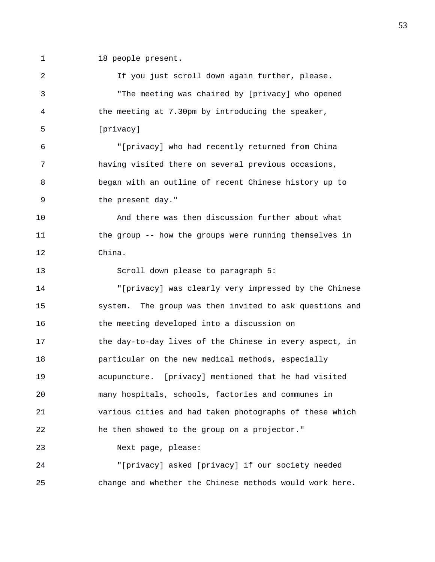1 18 people present.

| 2  | If you just scroll down again further, please.             |
|----|------------------------------------------------------------|
| 3  | "The meeting was chaired by [privacy] who opened           |
| 4  | the meeting at 7.30pm by introducing the speaker,          |
| 5  | [privacy]                                                  |
| 6  | "[privacy] who had recently returned from China            |
| 7  | having visited there on several previous occasions,        |
| 8  | began with an outline of recent Chinese history up to      |
| 9  | the present day."                                          |
| 10 | And there was then discussion further about what           |
| 11 | the group -- how the groups were running themselves in     |
| 12 | China.                                                     |
| 13 | Scroll down please to paragraph 5:                         |
| 14 | "[privacy] was clearly very impressed by the Chinese       |
| 15 | The group was then invited to ask questions and<br>system. |
| 16 | the meeting developed into a discussion on                 |
| 17 | the day-to-day lives of the Chinese in every aspect, in    |
| 18 | particular on the new medical methods, especially          |
| 19 | acupuncture. [privacy] mentioned that he had visited       |
| 20 | many hospitals, schools, factories and communes in         |
| 21 | various cities and had taken photographs of these which    |
| 22 | he then showed to the group on a projector."               |
| 23 | Next page, please:                                         |
| 24 | "[privacy] asked [privacy] if our society needed           |
| 25 | change and whether the Chinese methods would work here.    |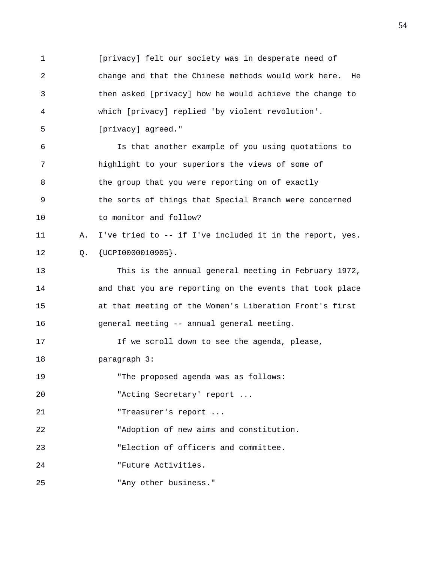1 [privacy] felt our society was in desperate need of 2 change and that the Chinese methods would work here. He 3 then asked [privacy] how he would achieve the change to 4 which [privacy] replied 'by violent revolution'. 5 [privacy] agreed." 6 Is that another example of you using quotations to 7 highlight to your superiors the views of some of 8 the group that you were reporting on of exactly 9 the sorts of things that Special Branch were concerned 10 to monitor and follow? 11 A. I've tried to -- if I've included it in the report, yes. 12 Q. {UCPI0000010905}. 13 This is the annual general meeting in February 1972, 14 and that you are reporting on the events that took place 15 at that meeting of the Women's Liberation Front's first 16 general meeting -- annual general meeting. 17 If we scroll down to see the agenda, please, 18 paragraph 3: 19 "The proposed agenda was as follows: 20 The "Acting Secretary' report ... 21 Treasurer's report ... 22 "Adoption of new aims and constitution. 23 "Election of officers and committee. 24 "Future Activities. 25 "Any other business."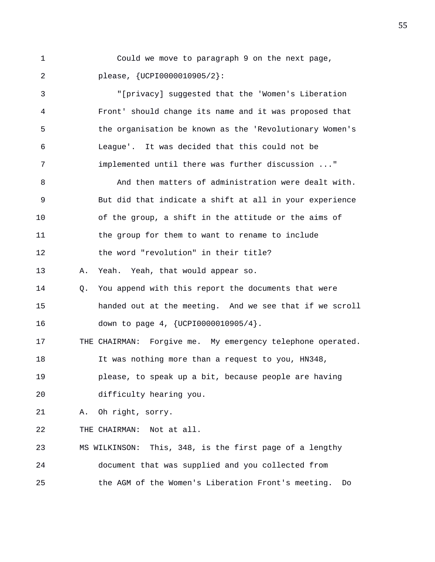1 Could we move to paragraph 9 on the next page, 2 please, {UCPI0000010905/2}:

3 "[privacy] suggested that the 'Women's Liberation 4 Front' should change its name and it was proposed that 5 the organisation be known as the 'Revolutionary Women's 6 League'. It was decided that this could not be 7 implemented until there was further discussion ..." 8 And then matters of administration were dealt with. 9 But did that indicate a shift at all in your experience 10 of the group, a shift in the attitude or the aims of 11 the group for them to want to rename to include 12 the word "revolution" in their title? 13 A. Yeah. Yeah, that would appear so. 14 Q. You append with this report the documents that were 15 handed out at the meeting. And we see that if we scroll 16 down to page 4, {UCPI0000010905/4}. 17 THE CHAIRMAN: Forgive me. My emergency telephone operated. 18 It was nothing more than a request to you, HN348, 19 please, to speak up a bit, because people are having 20 difficulty hearing you. 21 A. Oh right, sorry. 22 THE CHAIRMAN: Not at all. 23 MS WILKINSON: This, 348, is the first page of a lengthy

25 the AGM of the Women's Liberation Front's meeting. Do

24 document that was supplied and you collected from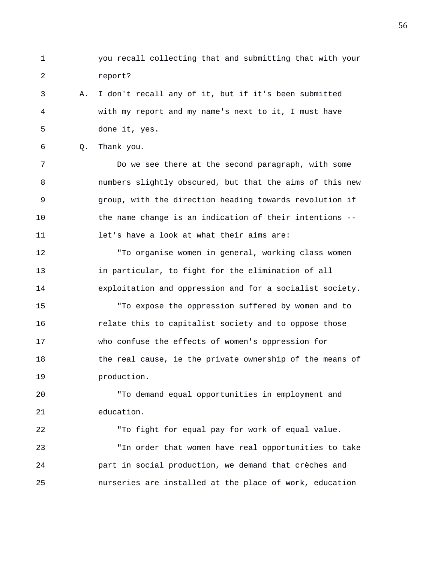1 you recall collecting that and submitting that with your 2 report?

3 A. I don't recall any of it, but if it's been submitted 4 with my report and my name's next to it, I must have 5 done it, yes.

6 Q. Thank you.

7 Do we see there at the second paragraph, with some 8 numbers slightly obscured, but that the aims of this new 9 group, with the direction heading towards revolution if 10 the name change is an indication of their intentions -- 11 let's have a look at what their aims are:

12 "To organise women in general, working class women 13 in particular, to fight for the elimination of all 14 exploitation and oppression and for a socialist society.

15 "To expose the oppression suffered by women and to 16 relate this to capitalist society and to oppose those 17 who confuse the effects of women's oppression for 18 the real cause, ie the private ownership of the means of 19 production.

20 "To demand equal opportunities in employment and 21 education.

22 "To fight for equal pay for work of equal value. 23 "In order that women have real opportunities to take 24 part in social production, we demand that crèches and 25 nurseries are installed at the place of work, education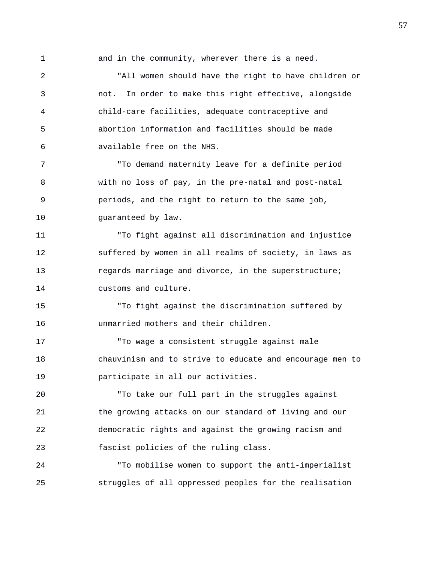1 and in the community, wherever there is a need.

2 "All women should have the right to have children or 3 not. In order to make this right effective, alongside 4 child-care facilities, adequate contraceptive and 5 abortion information and facilities should be made 6 available free on the NHS.

7 "To demand maternity leave for a definite period 8 with no loss of pay, in the pre-natal and post-natal 9 periods, and the right to return to the same job, 10 guaranteed by law.

11 "To fight against all discrimination and injustice 12 suffered by women in all realms of society, in laws as 13 regards marriage and divorce, in the superstructure; 14 customs and culture.

15 "To fight against the discrimination suffered by 16 unmarried mothers and their children.

17 "To wage a consistent struggle against male 18 chauvinism and to strive to educate and encourage men to 19 participate in all our activities.

20 "To take our full part in the struggles against 21 the growing attacks on our standard of living and our 22 democratic rights and against the growing racism and 23 fascist policies of the ruling class.

24 "To mobilise women to support the anti-imperialist 25 struggles of all oppressed peoples for the realisation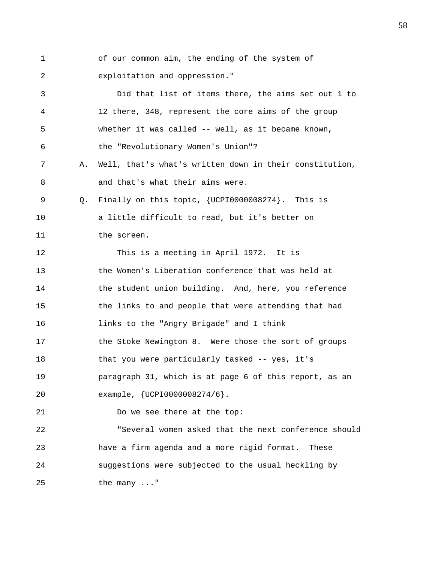1 of our common aim, the ending of the system of 2 exploitation and oppression." 3 Did that list of items there, the aims set out 1 to 4 12 there, 348, represent the core aims of the group 5 whether it was called -- well, as it became known, 6 the "Revolutionary Women's Union"? 7 A. Well, that's what's written down in their constitution, 8 and that's what their aims were. 9 Q. Finally on this topic, {UCPI0000008274}. This is 10 a little difficult to read, but it's better on 11 the screen. 12 This is a meeting in April 1972. It is 13 the Women's Liberation conference that was held at 14 the student union building. And, here, you reference 15 the links to and people that were attending that had 16 links to the "Angry Brigade" and I think 17 the Stoke Newington 8. Were those the sort of groups 18 that you were particularly tasked -- yes, it's 19 paragraph 31, which is at page 6 of this report, as an 20 example, {UCPI0000008274/6}. 21 Do we see there at the top: 22 "Several women asked that the next conference should 23 have a firm agenda and a more rigid format. These 24 suggestions were subjected to the usual heckling by 25 the many ..."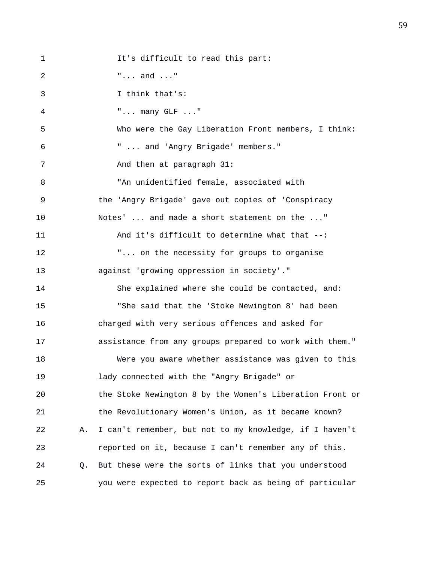1 It's difficult to read this part: 2 "... and ..." 3 I think that's: 4 "... many GLF ..." 5 Who were the Gay Liberation Front members, I think: 6 " ... and 'Angry Brigade' members." 7 And then at paragraph 31: 8 The maidentified female, associated with 9 the 'Angry Brigade' gave out copies of 'Conspiracy 10 Notes' ... and made a short statement on the ..." 11 And it's difficult to determine what that --: 12 T... on the necessity for groups to organise 13 against 'growing oppression in society'." 14 She explained where she could be contacted, and: 15 "She said that the 'Stoke Newington 8' had been 16 charged with very serious offences and asked for 17 assistance from any groups prepared to work with them." 18 Were you aware whether assistance was given to this 19 lady connected with the "Angry Brigade" or 20 the Stoke Newington 8 by the Women's Liberation Front or 21 the Revolutionary Women's Union, as it became known? 22 A. I can't remember, but not to my knowledge, if I haven't 23 reported on it, because I can't remember any of this. 24 Q. But these were the sorts of links that you understood 25 you were expected to report back as being of particular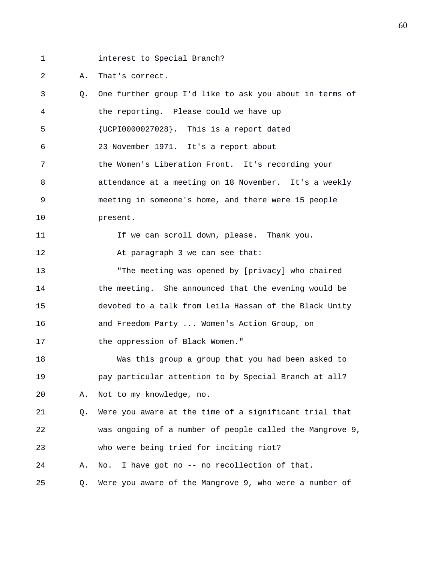1 interest to Special Branch?

2 A. That's correct.

3 Q. One further group I'd like to ask you about in terms of 4 the reporting. Please could we have up 5 {UCPI0000027028}. This is a report dated 6 23 November 1971. It's a report about 7 the Women's Liberation Front. It's recording your 8 attendance at a meeting on 18 November. It's a weekly 9 meeting in someone's home, and there were 15 people 10 present. 11 If we can scroll down, please. Thank you. 12 At paragraph 3 we can see that: 13 "The meeting was opened by [privacy] who chaired 14 the meeting. She announced that the evening would be 15 devoted to a talk from Leila Hassan of the Black Unity 16 and Freedom Party ... Women's Action Group, on 17 the oppression of Black Women." 18 Was this group a group that you had been asked to 19 pay particular attention to by Special Branch at all? 20 A. Not to my knowledge, no. 21 Q. Were you aware at the time of a significant trial that 22 was ongoing of a number of people called the Mangrove 9, 23 who were being tried for inciting riot? 24 A. No. I have got no -- no recollection of that. 25 Q. Were you aware of the Mangrove 9, who were a number of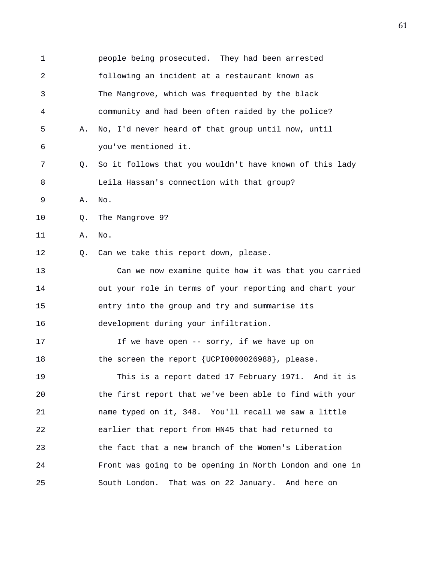1 people being prosecuted. They had been arrested 2 following an incident at a restaurant known as 3 The Mangrove, which was frequented by the black 4 community and had been often raided by the police? 5 A. No, I'd never heard of that group until now, until 6 you've mentioned it. 7 Q. So it follows that you wouldn't have known of this lady 8 Leila Hassan's connection with that group? 9 A. No. 10 Q. The Mangrove 9? 11 A. No. 12 Q. Can we take this report down, please. 13 Can we now examine quite how it was that you carried 14 out your role in terms of your reporting and chart your 15 entry into the group and try and summarise its 16 development during your infiltration. 17 If we have open -- sorry, if we have up on 18 the screen the report {UCPI0000026988}, please. 19 This is a report dated 17 February 1971. And it is 20 the first report that we've been able to find with your 21 name typed on it, 348. You'll recall we saw a little 22 earlier that report from HN45 that had returned to 23 the fact that a new branch of the Women's Liberation 24 Front was going to be opening in North London and one in 25 South London. That was on 22 January. And here on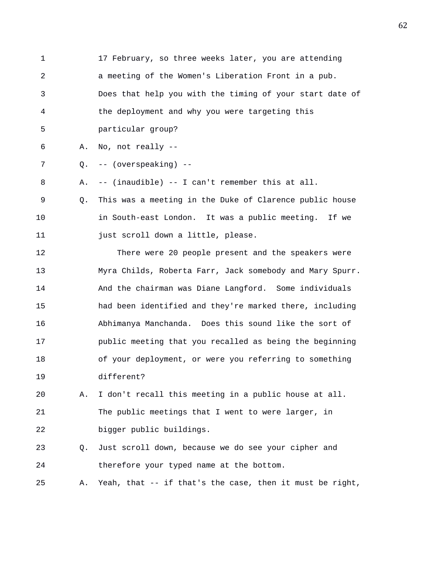1 17 February, so three weeks later, you are attending 2 a meeting of the Women's Liberation Front in a pub. 3 Does that help you with the timing of your start date of 4 the deployment and why you were targeting this 5 particular group? 6 A. No, not really -- 7 Q. -- (overspeaking) -- 8 A. -- (inaudible) -- I can't remember this at all. 9 Q. This was a meeting in the Duke of Clarence public house 10 in South-east London. It was a public meeting. If we 11 **just scroll down a little, please.** 

12 There were 20 people present and the speakers were 13 Myra Childs, Roberta Farr, Jack somebody and Mary Spurr. 14 And the chairman was Diane Langford. Some individuals 15 had been identified and they're marked there, including 16 Abhimanya Manchanda. Does this sound like the sort of 17 public meeting that you recalled as being the beginning 18 of your deployment, or were you referring to something 19 different?

20 A. I don't recall this meeting in a public house at all. 21 The public meetings that I went to were larger, in 22 bigger public buildings.

23 Q. Just scroll down, because we do see your cipher and 24 therefore your typed name at the bottom.

25 A. Yeah, that -- if that's the case, then it must be right,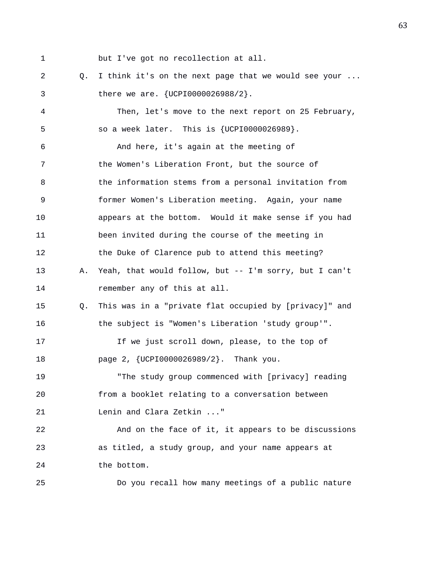1 but I've got no recollection at all.

2 Q. I think it's on the next page that we would see your ... 3 there we are. {UCPI0000026988/2}.

4 Then, let's move to the next report on 25 February, 5 so a week later. This is {UCPI0000026989}.

6 And here, it's again at the meeting of 7 the Women's Liberation Front, but the source of 8 the information stems from a personal invitation from 9 former Women's Liberation meeting. Again, your name 10 appears at the bottom. Would it make sense if you had 11 been invited during the course of the meeting in 12 the Duke of Clarence pub to attend this meeting? 13 A. Yeah, that would follow, but -- I'm sorry, but I can't 14 **remember** any of this at all. 15 Q. This was in a "private flat occupied by [privacy]" and 16 the subject is "Women's Liberation 'study group'". 17 If we just scroll down, please, to the top of 18 page 2, {UCPI0000026989/2}. Thank you. 19 "The study group commenced with [privacy] reading 20 from a booklet relating to a conversation between

21 Lenin and Clara Zetkin ..."

22 And on the face of it, it appears to be discussions 23 as titled, a study group, and your name appears at 24 the bottom.

25 Do you recall how many meetings of a public nature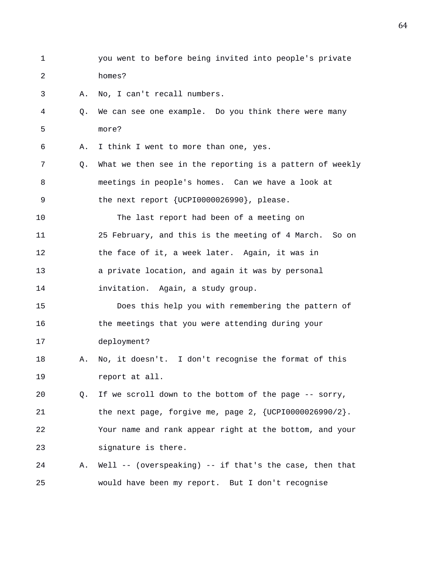1 you went to before being invited into people's private 2 homes? 3 A. No, I can't recall numbers. 4 Q. We can see one example. Do you think there were many 5 more? 6 A. I think I went to more than one, yes. 7 Q. What we then see in the reporting is a pattern of weekly 8 meetings in people's homes. Can we have a look at 9 the next report {UCPI0000026990}, please. 10 The last report had been of a meeting on 11 25 February, and this is the meeting of 4 March. So on 12 the face of it, a week later. Again, it was in 13 a private location, and again it was by personal 14 invitation. Again, a study group. 15 Does this help you with remembering the pattern of 16 the meetings that you were attending during your 17 deployment? 18 A. No, it doesn't. I don't recognise the format of this 19 report at all. 20 Q. If we scroll down to the bottom of the page -- sorry, 21 the next page, forgive me, page 2, {UCPI0000026990/2}. 22 Your name and rank appear right at the bottom, and your 23 signature is there. 24 A. Well -- (overspeaking) -- if that's the case, then that 25 would have been my report. But I don't recognise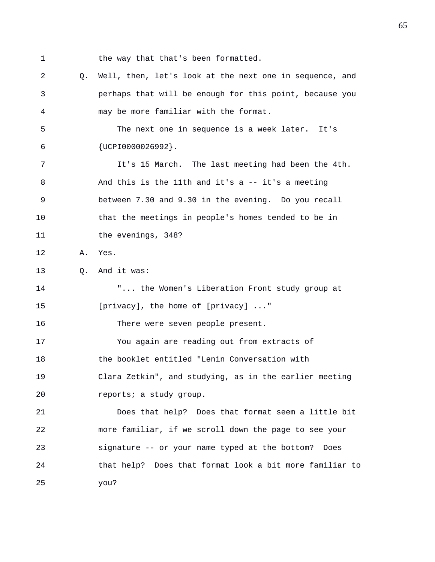1 the way that that's been formatted.

2 Q. Well, then, let's look at the next one in sequence, and 3 perhaps that will be enough for this point, because you 4 may be more familiar with the format. 5 The next one in sequence is a week later. It's 6 {UCPI0000026992}. 7 It's 15 March. The last meeting had been the 4th. 8 And this is the 11th and it's a -- it's a meeting 9 between 7.30 and 9.30 in the evening. Do you recall 10 that the meetings in people's homes tended to be in 11 the evenings, 348? 12 A. Yes. 13 O. And it was: 14 "... the Women's Liberation Front study group at 15 [privacy], the home of [privacy] ..." 16 There were seven people present. 17 You again are reading out from extracts of 18 the booklet entitled "Lenin Conversation with 19 Clara Zetkin", and studying, as in the earlier meeting 20 reports; a study group. 21 Does that help? Does that format seem a little bit 22 more familiar, if we scroll down the page to see your 23 signature -- or your name typed at the bottom? Does 24 that help? Does that format look a bit more familiar to 25 you?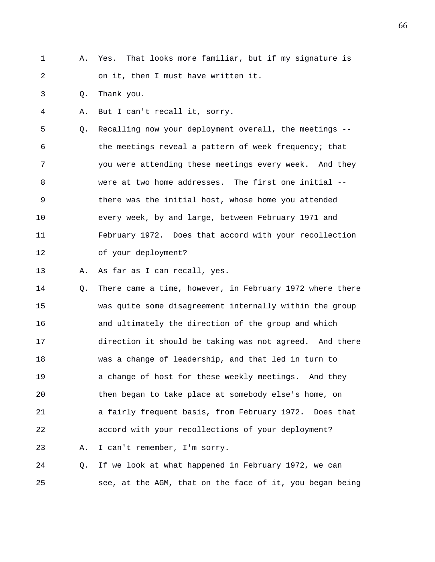- 1 A. Yes. That looks more familiar, but if my signature is 2 on it, then I must have written it.
- 3 Q. Thank you.
- 4 A. But I can't recall it, sorry.

5 Q. Recalling now your deployment overall, the meetings -- 6 the meetings reveal a pattern of week frequency; that 7 you were attending these meetings every week. And they 8 were at two home addresses. The first one initial -- 9 there was the initial host, whose home you attended 10 every week, by and large, between February 1971 and 11 February 1972. Does that accord with your recollection 12 of your deployment?

13 A. As far as I can recall, yes.

14 Q. There came a time, however, in February 1972 where there 15 was quite some disagreement internally within the group 16 and ultimately the direction of the group and which 17 direction it should be taking was not agreed. And there 18 was a change of leadership, and that led in turn to 19 a change of host for these weekly meetings. And they 20 then began to take place at somebody else's home, on 21 a fairly frequent basis, from February 1972. Does that 22 accord with your recollections of your deployment? 23 A. I can't remember, I'm sorry.

24 Q. If we look at what happened in February 1972, we can 25 see, at the AGM, that on the face of it, you began being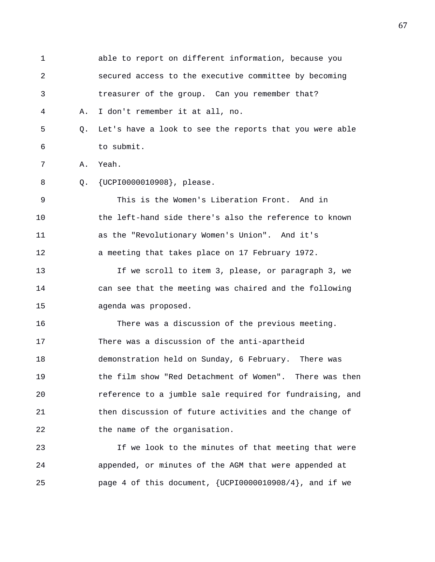| $\mathbf 1$ |    | able to report on different information, because you        |
|-------------|----|-------------------------------------------------------------|
| 2           |    | secured access to the executive committee by becoming       |
| 3           |    | treasurer of the group. Can you remember that?              |
| 4           | Α. | I don't remember it at all, no.                             |
| 5           | Q. | Let's have a look to see the reports that you were able     |
| 6           |    | to submit.                                                  |
| 7           | Α. | Yeah.                                                       |
| 8           | Q. | {UCPI0000010908}, please.                                   |
| 9           |    | This is the Women's Liberation Front. And in                |
| 10          |    | the left-hand side there's also the reference to known      |
| 11          |    | as the "Revolutionary Women's Union". And it's              |
| 12          |    | a meeting that takes place on 17 February 1972.             |
| 13          |    | If we scroll to item 3, please, or paragraph 3, we          |
| 14          |    | can see that the meeting was chaired and the following      |
| 15          |    | agenda was proposed.                                        |
| 16          |    | There was a discussion of the previous meeting.             |
| 17          |    | There was a discussion of the anti-apartheid                |
| 18          |    | demonstration held on Sunday, 6 February. There was         |
| 19          |    | the film show "Red Detachment of Women". There was then     |
| 20          |    | reference to a jumble sale required for fundraising, and    |
| 21          |    | then discussion of future activities and the change of      |
| 22          |    | the name of the organisation.                               |
| 23          |    | If we look to the minutes of that meeting that were         |
| 24          |    | appended, or minutes of the AGM that were appended at       |
| 25          |    | page 4 of this document, $\{UCP10000010908/4\}$ , and if we |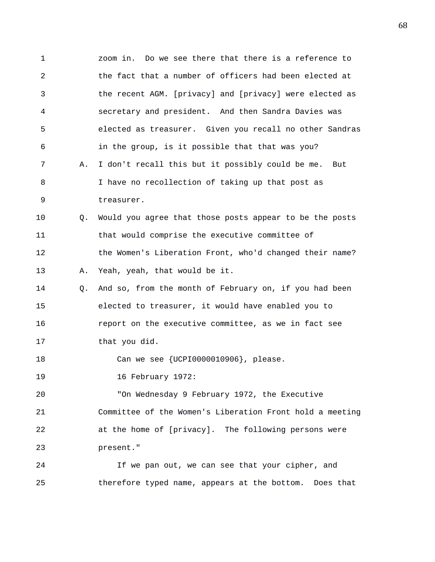1 zoom in. Do we see there that there is a reference to 2 the fact that a number of officers had been elected at 3 the recent AGM. [privacy] and [privacy] were elected as 4 secretary and president. And then Sandra Davies was 5 elected as treasurer. Given you recall no other Sandras 6 in the group, is it possible that that was you? 7 A. I don't recall this but it possibly could be me. But 8 I have no recollection of taking up that post as 9 treasurer. 10 Q. Would you agree that those posts appear to be the posts 11 that would comprise the executive committee of 12 the Women's Liberation Front, who'd changed their name? 13 A. Yeah, yeah, that would be it. 14 Q. And so, from the month of February on, if you had been 15 elected to treasurer, it would have enabled you to 16 report on the executive committee, as we in fact see 17 that you did. 18 Can we see {UCPI0000010906}, please. 19 16 February 1972: 20 "On Wednesday 9 February 1972, the Executive 21 Committee of the Women's Liberation Front hold a meeting 22 at the home of [privacy]. The following persons were 23 present." 24 If we pan out, we can see that your cipher, and 25 therefore typed name, appears at the bottom. Does that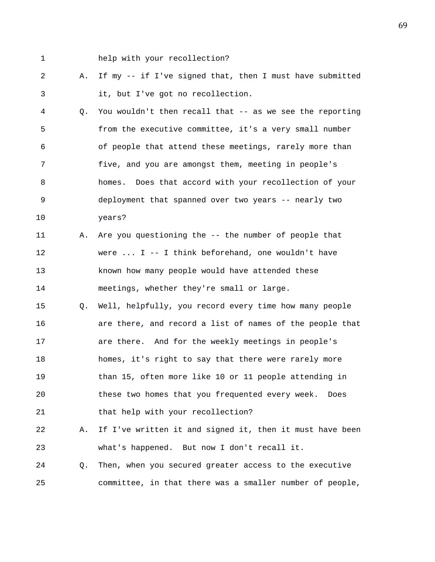1 help with your recollection?

- 2 A. If my -- if I've signed that, then I must have submitted 3 it, but I've got no recollection.
- 4 Q. You wouldn't then recall that -- as we see the reporting 5 from the executive committee, it's a very small number 6 of people that attend these meetings, rarely more than 7 five, and you are amongst them, meeting in people's 8 homes. Does that accord with your recollection of your 9 deployment that spanned over two years -- nearly two 10 years?
- 11 A. Are you questioning the -- the number of people that 12 were ... I -- I think beforehand, one wouldn't have 13 known how many people would have attended these 14 meetings, whether they're small or large.
- 15 Q. Well, helpfully, you record every time how many people 16 are there, and record a list of names of the people that 17 are there. And for the weekly meetings in people's 18 homes, it's right to say that there were rarely more 19 than 15, often more like 10 or 11 people attending in 20 these two homes that you frequented every week. Does 21 that help with your recollection?
- 22 A. If I've written it and signed it, then it must have been 23 what's happened. But now I don't recall it.
- 24 Q. Then, when you secured greater access to the executive 25 committee, in that there was a smaller number of people,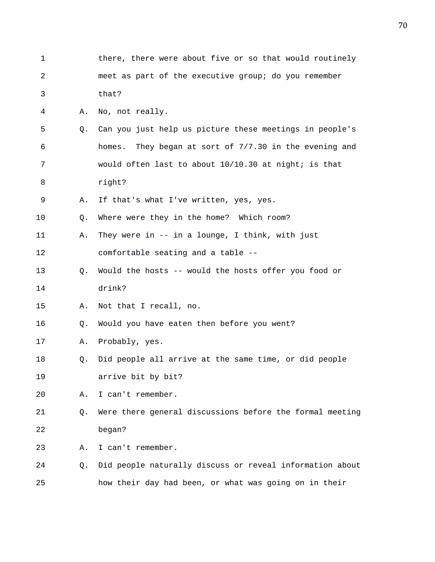1 there, there were about five or so that would routinely 2 meet as part of the executive group; do you remember 3 that? 4 A. No, not really. 5 Q. Can you just help us picture these meetings in people's 6 homes. They began at sort of 7/7.30 in the evening and 7 would often last to about 10/10.30 at night; is that 8 right? 9 A. If that's what I've written, yes, yes. 10 Q. Where were they in the home? Which room? 11 A. They were in -- in a lounge, I think, with just 12 comfortable seating and a table -- 13 Q. Would the hosts -- would the hosts offer you food or 14 drink? 15 A. Not that I recall, no. 16 Q. Would you have eaten then before you went? 17 A. Probably, yes. 18 Q. Did people all arrive at the same time, or did people 19 arrive bit by bit? 20 A. I can't remember. 21 Q. Were there general discussions before the formal meeting 22 began? 23 A. I can't remember. 24 Q. Did people naturally discuss or reveal information about 25 how their day had been, or what was going on in their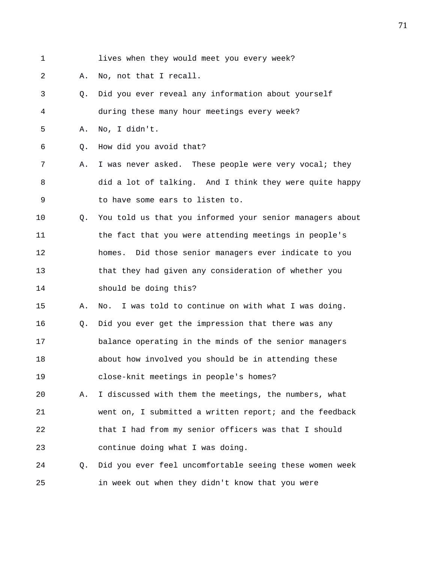- 
- 1 lives when they would meet you every week?

2 A. No, not that I recall.

- 3 Q. Did you ever reveal any information about yourself 4 during these many hour meetings every week?
- 5 A. No, I didn't.
- 6 Q. How did you avoid that?
- 7 A. I was never asked. These people were very vocal; they 8 did a lot of talking. And I think they were quite happy 9 to have some ears to listen to.
- 10 Q. You told us that you informed your senior managers about 11 the fact that you were attending meetings in people's 12 homes. Did those senior managers ever indicate to you 13 that they had given any consideration of whether you 14 should be doing this?
- 15 A. No. I was told to continue on with what I was doing. 16 Q. Did you ever get the impression that there was any 17 balance operating in the minds of the senior managers 18 about how involved you should be in attending these 19 close-knit meetings in people's homes?
- 20 A. I discussed with them the meetings, the numbers, what 21 went on, I submitted a written report; and the feedback 22 that I had from my senior officers was that I should 23 continue doing what I was doing.
- 24 Q. Did you ever feel uncomfortable seeing these women week 25 in week out when they didn't know that you were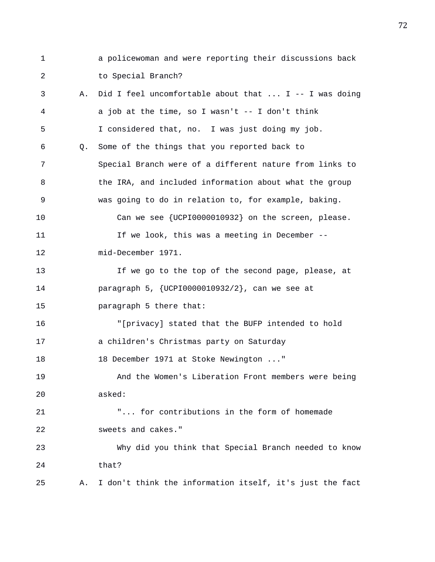1 a policewoman and were reporting their discussions back 2 to Special Branch? 3 A. Did I feel uncomfortable about that ... I -- I was doing 4 a job at the time, so I wasn't -- I don't think 5 I considered that, no. I was just doing my job. 6 Q. Some of the things that you reported back to 7 Special Branch were of a different nature from links to 8 6 the IRA, and included information about what the group 9 was going to do in relation to, for example, baking. 10 Can we see {UCPI0000010932} on the screen, please. 11 If we look, this was a meeting in December --12 mid-December 1971. 13 If we go to the top of the second page, please, at 14 paragraph 5, {UCPI0000010932/2}, can we see at 15 paragraph 5 there that: 16 "[privacy] stated that the BUFP intended to hold 17 a children's Christmas party on Saturday 18 18 December 1971 at Stoke Newington ..." 19 And the Women's Liberation Front members were being 20 asked: 21 "... for contributions in the form of homemade 22 sweets and cakes." 23 Why did you think that Special Branch needed to know 24 that? 25 A. I don't think the information itself, it's just the fact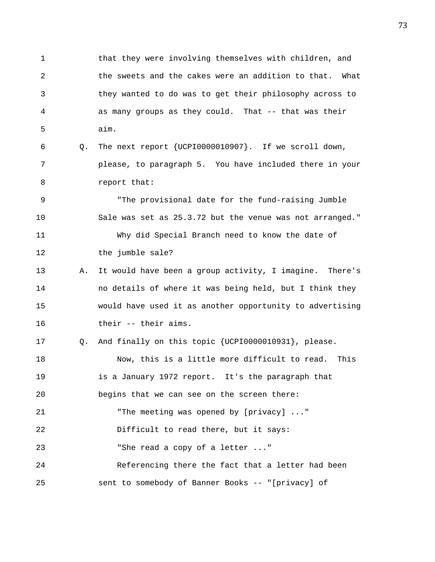1 that they were involving themselves with children, and 2 the sweets and the cakes were an addition to that. What 3 they wanted to do was to get their philosophy across to 4 as many groups as they could. That -- that was their 5 aim.

6 Q. The next report {UCPI0000010907}. If we scroll down, 7 please, to paragraph 5. You have included there in your 8 report that:

9 "The provisional date for the fund-raising Jumble 10 Sale was set as 25.3.72 but the venue was not arranged." 11 Why did Special Branch need to know the date of 12 the jumble sale?

13 A. It would have been a group activity, I imagine. There's 14 no details of where it was being held, but I think they 15 would have used it as another opportunity to advertising 16 their -- their aims.

17 Q. And finally on this topic {UCPI0000010931}, please. 18 Now, this is a little more difficult to read. This 19 is a January 1972 report. It's the paragraph that 20 begins that we can see on the screen there: 21 "The meeting was opened by [privacy] ..." 22 Difficult to read there, but it says: 23 "She read a copy of a letter ..." 24 Referencing there the fact that a letter had been 25 sent to somebody of Banner Books -- "[privacy] of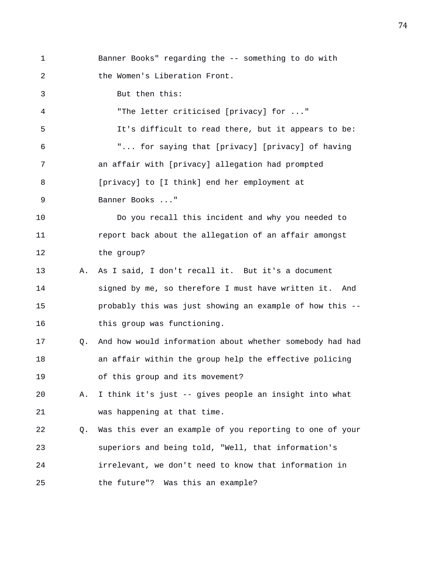1 Banner Books" regarding the -- something to do with 2 the Women's Liberation Front. 3 But then this: 4 "The letter criticised [privacy] for ..." 5 It's difficult to read there, but it appears to be: 6 "... for saying that [privacy] [privacy] of having 7 an affair with [privacy] allegation had prompted 8 [privacy] to [I think] end her employment at 9 Banner Books ..." 10 Do you recall this incident and why you needed to 11 report back about the allegation of an affair amongst 12 the group? 13 A. As I said, I don't recall it. But it's a document 14 signed by me, so therefore I must have written it. And 15 probably this was just showing an example of how this -- 16 this group was functioning. 17 Q. And how would information about whether somebody had had 18 an affair within the group help the effective policing 19 of this group and its movement? 20 A. I think it's just -- gives people an insight into what 21 was happening at that time. 22 Q. Was this ever an example of you reporting to one of your 23 superiors and being told, "Well, that information's 24 irrelevant, we don't need to know that information in 25 the future"? Was this an example?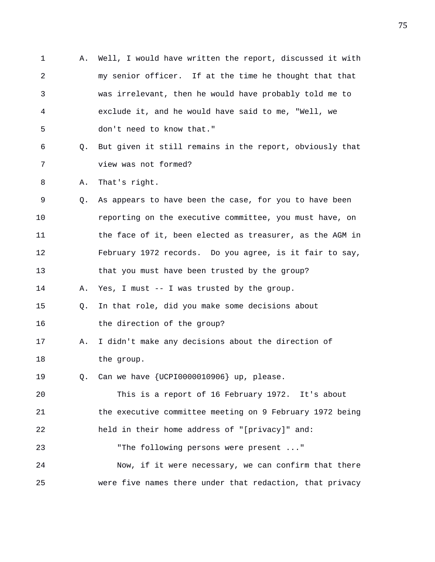1 A. Well, I would have written the report, discussed it with 2 my senior officer. If at the time he thought that that 3 was irrelevant, then he would have probably told me to 4 exclude it, and he would have said to me, "Well, we 5 don't need to know that." 6 Q. But given it still remains in the report, obviously that 7 view was not formed? 8 A. That's right. 9 Q. As appears to have been the case, for you to have been 10 reporting on the executive committee, you must have, on 11 the face of it, been elected as treasurer, as the AGM in 12 February 1972 records. Do you agree, is it fair to say, 13 that you must have been trusted by the group? 14 A. Yes, I must -- I was trusted by the group. 15 Q. In that role, did you make some decisions about 16 the direction of the group? 17 A. I didn't make any decisions about the direction of 18 the group. 19 Q. Can we have {UCPI0000010906} up, please. 20 This is a report of 16 February 1972. It's about 21 the executive committee meeting on 9 February 1972 being 22 held in their home address of "[privacy]" and: 23 "The following persons were present ..." 24 Now, if it were necessary, we can confirm that there 25 were five names there under that redaction, that privacy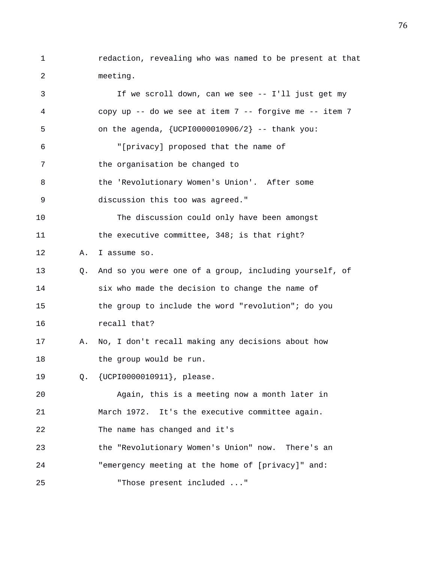1 redaction, revealing who was named to be present at that 2 meeting.

3 If we scroll down, can we see -- I'll just get my 4 copy up -- do we see at item 7 -- forgive me -- item 7 5 on the agenda, {UCPI0000010906/2} -- thank you: 6 "[privacy] proposed that the name of 7 the organisation be changed to 8 the 'Revolutionary Women's Union'. After some 9 discussion this too was agreed." 10 The discussion could only have been amongst 11 the executive committee, 348; is that right? 12 A. I assume so. 13 Q. And so you were one of a group, including yourself, of 14 six who made the decision to change the name of 15 the group to include the word "revolution"; do you 16 recall that? 17 A. No, I don't recall making any decisions about how 18 the group would be run. 19 Q. {UCPI0000010911}, please. 20 Again, this is a meeting now a month later in 21 March 1972. It's the executive committee again. 22 The name has changed and it's 23 the "Revolutionary Women's Union" now. There's an 24 "emergency meeting at the home of [privacy]" and: 25 "Those present included ..."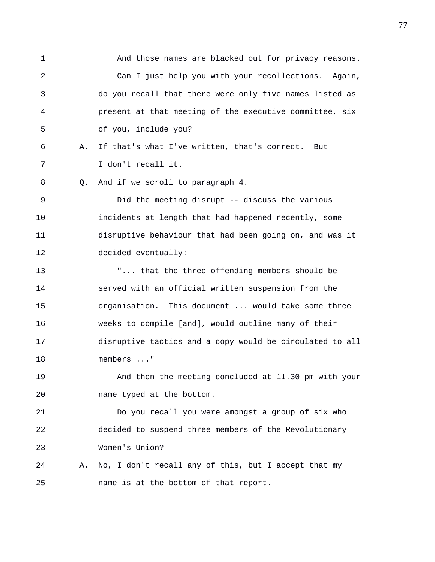1 And those names are blacked out for privacy reasons. 2 Can I just help you with your recollections. Again, 3 do you recall that there were only five names listed as 4 present at that meeting of the executive committee, six 5 of you, include you? 6 A. If that's what I've written, that's correct. But 7 I don't recall it. 8 Q. And if we scroll to paragraph 4. 9 Did the meeting disrupt -- discuss the various 10 incidents at length that had happened recently, some 11 disruptive behaviour that had been going on, and was it 12 decided eventually: 13 "... that the three offending members should be 14 served with an official written suspension from the 15 organisation. This document ... would take some three 16 weeks to compile [and], would outline many of their 17 disruptive tactics and a copy would be circulated to all 18 members ..." 19 And then the meeting concluded at 11.30 pm with your 20 name typed at the bottom. 21 Do you recall you were amongst a group of six who

22 decided to suspend three members of the Revolutionary 23 Women's Union?

24 A. No, I don't recall any of this, but I accept that my 25 name is at the bottom of that report.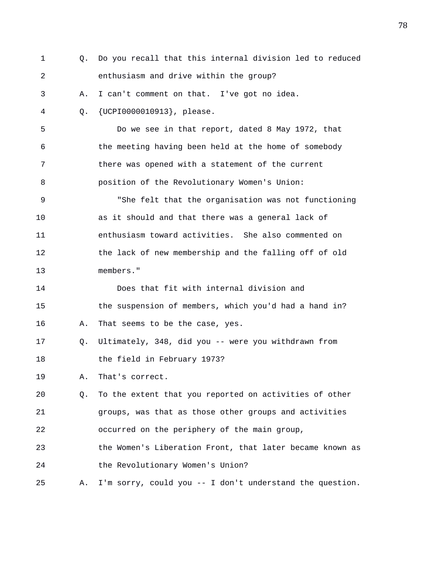1 Q. Do you recall that this internal division led to reduced 2 enthusiasm and drive within the group? 3 A. I can't comment on that. I've got no idea. 4 Q. {UCPI0000010913}, please. 5 Do we see in that report, dated 8 May 1972, that 6 the meeting having been held at the home of somebody 7 there was opened with a statement of the current 8 position of the Revolutionary Women's Union: 9 "She felt that the organisation was not functioning 10 as it should and that there was a general lack of 11 enthusiasm toward activities. She also commented on 12 the lack of new membership and the falling off of old 13 members." 14 Does that fit with internal division and 15 the suspension of members, which you'd had a hand in? 16 A. That seems to be the case, yes. 17 Q. Ultimately, 348, did you -- were you withdrawn from 18 the field in February 1973? 19 A. That's correct. 20 Q. To the extent that you reported on activities of other 21 groups, was that as those other groups and activities 22 occurred on the periphery of the main group, 23 the Women's Liberation Front, that later became known as 24 the Revolutionary Women's Union? 25 A. I'm sorry, could you -- I don't understand the question.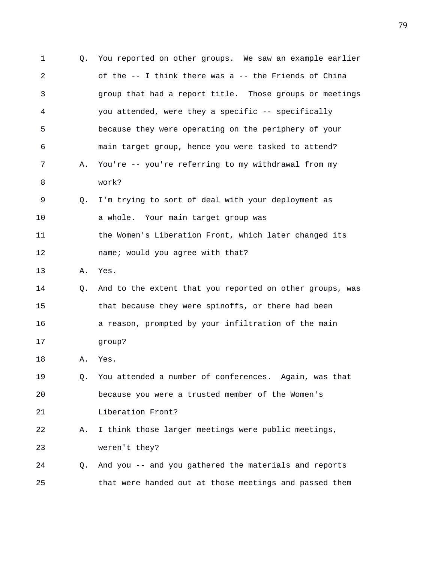1 Q. You reported on other groups. We saw an example earlier 2 of the -- I think there was a -- the Friends of China 3 group that had a report title. Those groups or meetings 4 you attended, were they a specific -- specifically 5 because they were operating on the periphery of your 6 main target group, hence you were tasked to attend? 7 A. You're -- you're referring to my withdrawal from my 8 work? 9 Q. I'm trying to sort of deal with your deployment as 10 a whole. Your main target group was 11 the Women's Liberation Front, which later changed its 12 **name;** would you agree with that? 13 A. Yes. 14 Q. And to the extent that you reported on other groups, was 15 that because they were spinoffs, or there had been 16 a reason, prompted by your infiltration of the main 17 group? 18 A. Yes. 19 Q. You attended a number of conferences. Again, was that 20 because you were a trusted member of the Women's 21 Liberation Front? 22 A. I think those larger meetings were public meetings, 23 weren't they? 24 Q. And you -- and you gathered the materials and reports 25 that were handed out at those meetings and passed them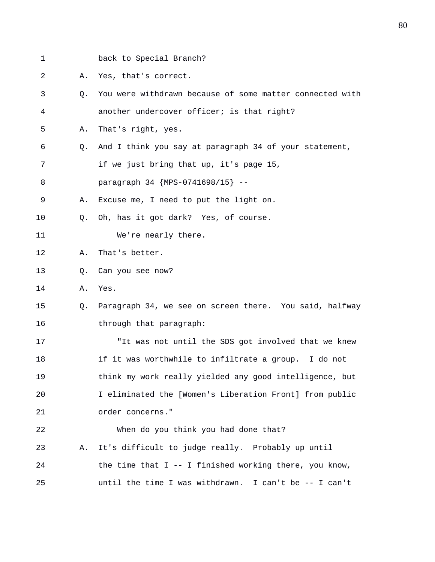1 back to Special Branch?

2 A. Yes, that's correct.

- 3 Q. You were withdrawn because of some matter connected with 4 another undercover officer; is that right?
- 5 A. That's right, yes.
- 6 Q. And I think you say at paragraph 34 of your statement,
- 7 if we just bring that up, it's page 15,

8 paragraph 34 {MPS-0741698/15} --

- 9 A. Excuse me, I need to put the light on.
- 10 Q. Oh, has it got dark? Yes, of course.
- 11 We're nearly there.
- 12 A. That's better.
- 13 Q. Can you see now?
- 14 A. Yes.
- 15 Q. Paragraph 34, we see on screen there. You said, halfway 16 through that paragraph:

17 "It was not until the SDS got involved that we knew 18 if it was worthwhile to infiltrate a group. I do not 19 think my work really yielded any good intelligence, but 20 I eliminated the [Women's Liberation Front] from public 21 order concerns."

22 When do you think you had done that? 23 A. It's difficult to judge really. Probably up until 24 the time that I -- I finished working there, you know, 25 until the time I was withdrawn. I can't be -- I can't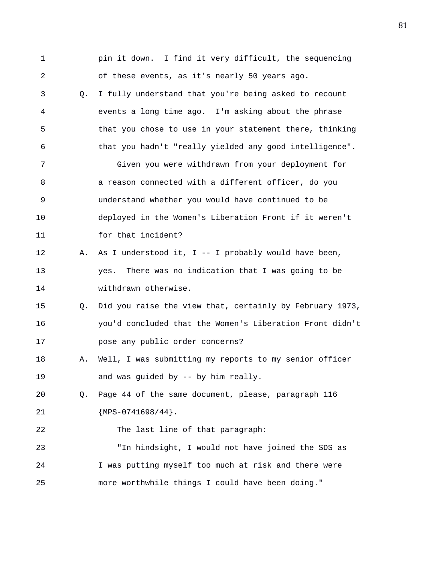1 pin it down. I find it very difficult, the sequencing 2 of these events, as it's nearly 50 years ago. 3 Q. I fully understand that you're being asked to recount 4 events a long time ago. I'm asking about the phrase 5 that you chose to use in your statement there, thinking 6 that you hadn't "really yielded any good intelligence". 7 Given you were withdrawn from your deployment for 8 a reason connected with a different officer, do you 9 understand whether you would have continued to be 10 deployed in the Women's Liberation Front if it weren't 11 for that incident? 12 A. As I understood it, I -- I probably would have been, 13 yes. There was no indication that I was going to be 14 withdrawn otherwise. 15 Q. Did you raise the view that, certainly by February 1973, 16 you'd concluded that the Women's Liberation Front didn't 17 pose any public order concerns? 18 A. Well, I was submitting my reports to my senior officer 19 and was guided by -- by him really. 20 Q. Page 44 of the same document, please, paragraph 116 21 {MPS-0741698/44}. 22 The last line of that paragraph: 23 "In hindsight, I would not have joined the SDS as 24 I was putting myself too much at risk and there were 25 more worthwhile things I could have been doing."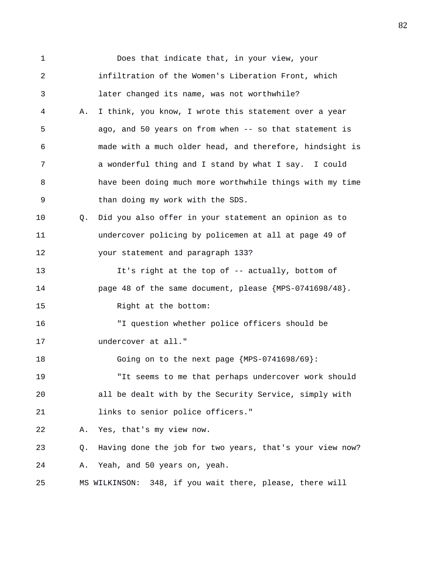1 Does that indicate that, in your view, your 2 infiltration of the Women's Liberation Front, which 3 later changed its name, was not worthwhile? 4 A. I think, you know, I wrote this statement over a year 5 ago, and 50 years on from when -- so that statement is 6 made with a much older head, and therefore, hindsight is 7 a wonderful thing and I stand by what I say. I could 8 have been doing much more worthwhile things with my time 9 than doing my work with the SDS. 10 Q. Did you also offer in your statement an opinion as to 11 undercover policing by policemen at all at page 49 of 12 your statement and paragraph 133? 13 It's right at the top of -- actually, bottom of 14 page 48 of the same document, please {MPS-0741698/48}. 15 Right at the bottom: 16 "I question whether police officers should be 17 undercover at all." 18 Going on to the next page {MPS-0741698/69}: 19 "It seems to me that perhaps undercover work should 20 all be dealt with by the Security Service, simply with 21 **1inks** to senior police officers." 22 A. Yes, that's my view now. 23 Q. Having done the job for two years, that's your view now? 24 A. Yeah, and 50 years on, yeah. 25 MS WILKINSON: 348, if you wait there, please, there will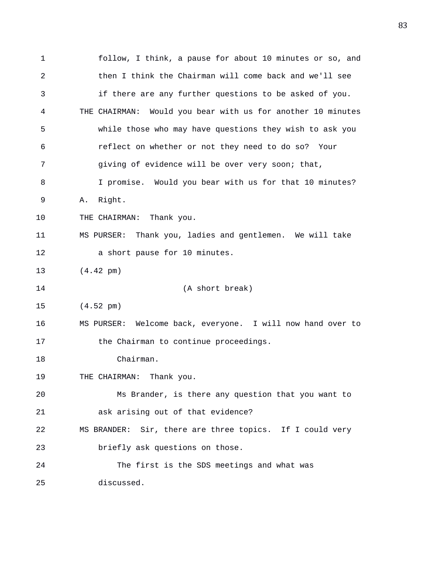1 follow, I think, a pause for about 10 minutes or so, and 2 then I think the Chairman will come back and we'll see 3 if there are any further questions to be asked of you. 4 THE CHAIRMAN: Would you bear with us for another 10 minutes 5 while those who may have questions they wish to ask you 6 reflect on whether or not they need to do so? Your 7 giving of evidence will be over very soon; that, 8 I promise. Would you bear with us for that 10 minutes? 9 A. Right. 10 THE CHAIRMAN: Thank you. 11 MS PURSER: Thank you, ladies and gentlemen. We will take 12 a short pause for 10 minutes. 13 (4.42 pm) 14 (A short break) 15 (4.52 pm) 16 MS PURSER: Welcome back, everyone. I will now hand over to 17 the Chairman to continue proceedings. 18 Chairman. 19 THE CHAIRMAN: Thank you. 20 Ms Brander, is there any question that you want to 21 ask arising out of that evidence? 22 MS BRANDER: Sir, there are three topics. If I could very 23 briefly ask questions on those. 24 The first is the SDS meetings and what was 25 discussed.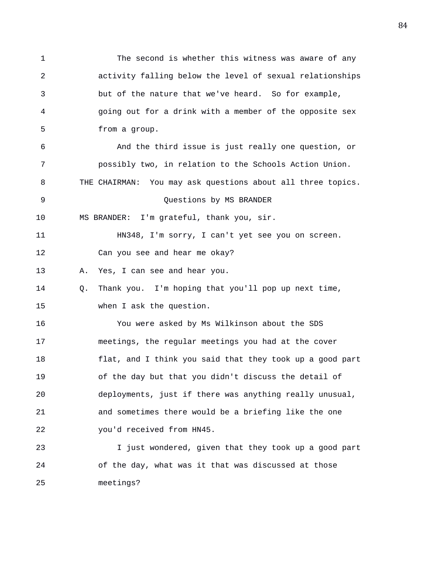1 The second is whether this witness was aware of any 2 activity falling below the level of sexual relationships 3 but of the nature that we've heard. So for example, 4 going out for a drink with a member of the opposite sex 5 from a group. 6 And the third issue is just really one question, or 7 possibly two, in relation to the Schools Action Union. 8 THE CHAIRMAN: You may ask questions about all three topics. 9 Questions by MS BRANDER 10 MS BRANDER: I'm grateful, thank you, sir. 11 HN348, I'm sorry, I can't yet see you on screen. 12 Can you see and hear me okay? 13 A. Yes, I can see and hear you. 14 Q. Thank you. I'm hoping that you'll pop up next time, 15 when I ask the question. 16 You were asked by Ms Wilkinson about the SDS 17 meetings, the regular meetings you had at the cover 18 flat, and I think you said that they took up a good part 19 of the day but that you didn't discuss the detail of 20 deployments, just if there was anything really unusual, 21 and sometimes there would be a briefing like the one 22 you'd received from HN45. 23 I just wondered, given that they took up a good part 24 of the day, what was it that was discussed at those 25 meetings?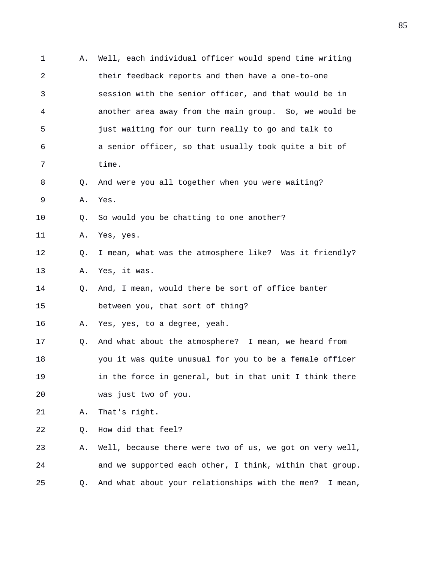| $\mathbf 1$ | Α. | Well, each individual officer would spend time writing     |
|-------------|----|------------------------------------------------------------|
| 2           |    | their feedback reports and then have a one-to-one          |
| 3           |    | session with the senior officer, and that would be in      |
| 4           |    | another area away from the main group. So, we would be     |
| 5           |    | just waiting for our turn really to go and talk to         |
| 6           |    | a senior officer, so that usually took quite a bit of      |
| 7           |    | time.                                                      |
| 8           | Q. | And were you all together when you were waiting?           |
| 9           | Α. | Yes.                                                       |
| 10          | Q. | So would you be chatting to one another?                   |
| 11          | Α. | Yes, yes.                                                  |
| 12          | Q. | I mean, what was the atmosphere like? Was it friendly?     |
| 13          | Α. | Yes, it was.                                               |
| 14          | Q. | And, I mean, would there be sort of office banter          |
| 15          |    | between you, that sort of thing?                           |
| 16          | Α. | Yes, yes, to a degree, yeah.                               |
| 17          | Q. | And what about the atmosphere? I mean, we heard from       |
| 18          |    | you it was quite unusual for you to be a female officer    |
| 19          |    | in the force in general, but in that unit I think there    |
| 20          |    | was just two of you.                                       |
| 21          | Α. | That's right.                                              |
| 22          | Q. | How did that feel?                                         |
| 23          | Α. | Well, because there were two of us, we got on very well,   |
| 24          |    | and we supported each other, I think, within that group.   |
| 25          | Q. | And what about your relationships with the men?<br>I mean, |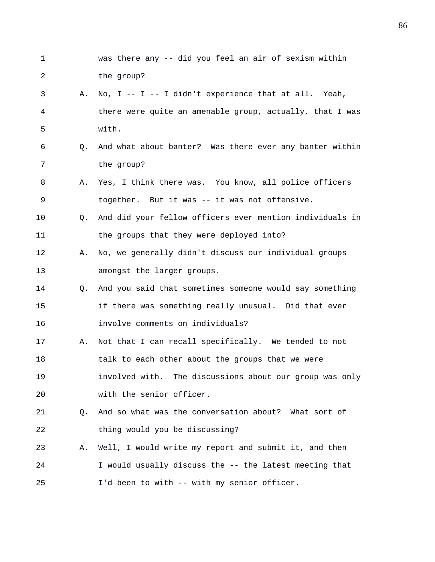1 was there any -- did you feel an air of sexism within 2 the group? 3 A. No, I -- I -- I didn't experience that at all. Yeah, 4 there were quite an amenable group, actually, that I was 5 with. 6 Q. And what about banter? Was there ever any banter within 7 the group? 8 A. Yes, I think there was. You know, all police officers 9 together. But it was -- it was not offensive. 10 Q. And did your fellow officers ever mention individuals in 11 the groups that they were deployed into? 12 A. No, we generally didn't discuss our individual groups 13 amongst the larger groups. 14 Q. And you said that sometimes someone would say something 15 if there was something really unusual. Did that ever 16 involve comments on individuals? 17 A. Not that I can recall specifically. We tended to not 18 talk to each other about the groups that we were 19 involved with. The discussions about our group was only 20 with the senior officer. 21 Q. And so what was the conversation about? What sort of 22 thing would you be discussing? 23 A. Well, I would write my report and submit it, and then 24 I would usually discuss the -- the latest meeting that 25 I'd been to with -- with my senior officer.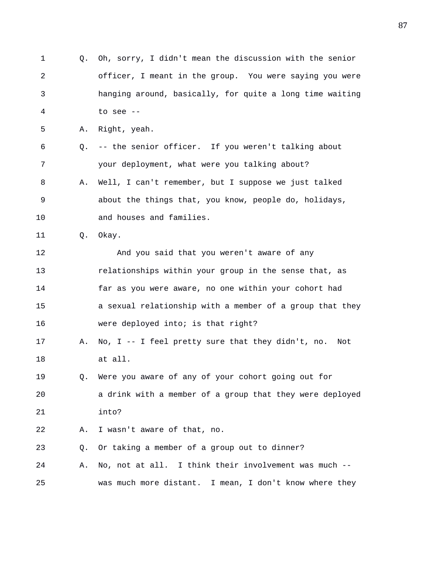1 Q. Oh, sorry, I didn't mean the discussion with the senior 2 officer, I meant in the group. You were saying you were 3 hanging around, basically, for quite a long time waiting 4 to see -- 5 A. Right, yeah. 6 Q. -- the senior officer. If you weren't talking about 7 your deployment, what were you talking about? 8 A. Well, I can't remember, but I suppose we just talked 9 about the things that, you know, people do, holidays, 10 and houses and families. 11 0. Okay. 12 And you said that you weren't aware of any 13 relationships within your group in the sense that, as 14 far as you were aware, no one within your cohort had 15 a sexual relationship with a member of a group that they 16 were deployed into; is that right? 17 A. No, I -- I feel pretty sure that they didn't, no. Not 18 at all. 19 Q. Were you aware of any of your cohort going out for 20 a drink with a member of a group that they were deployed 21 into? 22 A. I wasn't aware of that, no. 23 Q. Or taking a member of a group out to dinner? 24 A. No, not at all. I think their involvement was much -- 25 was much more distant. I mean, I don't know where they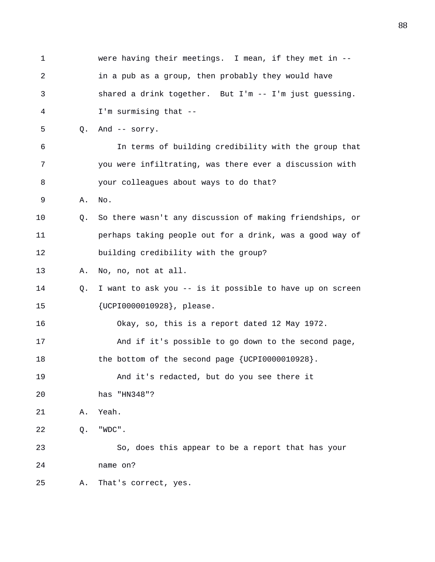| 1  |    | were having their meetings. I mean, if they met in --    |
|----|----|----------------------------------------------------------|
| 2  |    | in a pub as a group, then probably they would have       |
| 3  |    | shared a drink together. But I'm -- I'm just guessing.   |
| 4  |    | I'm surmising that --                                    |
| 5  | Q. | And -- sorry.                                            |
| 6  |    | In terms of building credibility with the group that     |
| 7  |    | you were infiltrating, was there ever a discussion with  |
| 8  |    | your colleagues about ways to do that?                   |
| 9  | Α. | No.                                                      |
| 10 | Q. | So there wasn't any discussion of making friendships, or |
| 11 |    | perhaps taking people out for a drink, was a good way of |
| 12 |    | building credibility with the group?                     |
| 13 | Α. | No, no, not at all.                                      |
| 14 | Q. | I want to ask you -- is it possible to have up on screen |
| 15 |    | {UCPI0000010928}, please.                                |
| 16 |    | Okay, so, this is a report dated 12 May 1972.            |
| 17 |    | And if it's possible to go down to the second page,      |
| 18 |    | the bottom of the second page $\{UCP10000010928\}$ .     |
| 19 |    | And it's redacted, but do you see there it               |
| 20 |    | has "HN348"?                                             |
| 21 | Α. | Yeah.                                                    |
| 22 | Q. | "WDC".                                                   |
| 23 |    | So, does this appear to be a report that has your        |
| 24 |    | name on?                                                 |
| 25 | Α. | That's correct, yes.                                     |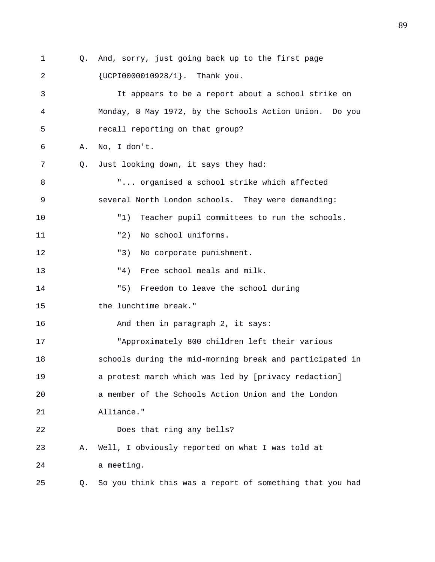1 Q. And, sorry, just going back up to the first page 2 {UCPI0000010928/1}. Thank you. 3 It appears to be a report about a school strike on 4 Monday, 8 May 1972, by the Schools Action Union. Do you 5 recall reporting on that group? 6 A. No, I don't. 7 Q. Just looking down, it says they had: 8 "... organised a school strike which affected 9 several North London schools. They were demanding: 10 "1) Teacher pupil committees to run the schools. 11  $\blacksquare$   $\blacksquare$  No school uniforms. 12  $\blacksquare$   $\blacksquare$   $\blacksquare$   $\blacksquare$   $\blacksquare$   $\blacksquare$   $\blacksquare$   $\blacksquare$   $\blacksquare$   $\blacksquare$ 13 "4) Free school meals and milk. 14 "5) Freedom to leave the school during 15 the lunchtime break." 16 And then in paragraph 2, it says: 17 "Approximately 800 children left their various 18 schools during the mid-morning break and participated in 19 a protest march which was led by [privacy redaction] 20 a member of the Schools Action Union and the London 21 Alliance." 22 Does that ring any bells? 23 A. Well, I obviously reported on what I was told at 24 a meeting. 25 Q. So you think this was a report of something that you had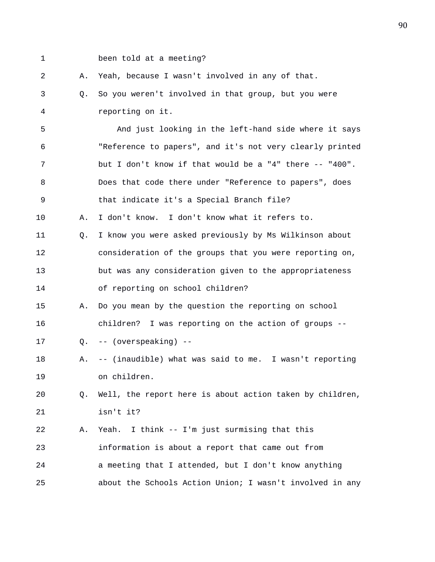1 been told at a meeting?

2 A. Yeah, because I wasn't involved in any of that. 3 Q. So you weren't involved in that group, but you were 4 reporting on it. 5 And just looking in the left-hand side where it says 6 "Reference to papers", and it's not very clearly printed 7 but I don't know if that would be a "4" there -- "400". 8 Does that code there under "Reference to papers", does 9 that indicate it's a Special Branch file? 10 A. I don't know. I don't know what it refers to. 11 Q. I know you were asked previously by Ms Wilkinson about 12 consideration of the groups that you were reporting on, 13 but was any consideration given to the appropriateness 14 of reporting on school children? 15 A. Do you mean by the question the reporting on school 16 children? I was reporting on the action of groups -- 17 Q. -- (overspeaking) -- 18 A. -- (inaudible) what was said to me. I wasn't reporting 19 on children. 20 Q. Well, the report here is about action taken by children, 21 isn't it? 22 A. Yeah. I think -- I'm just surmising that this 23 information is about a report that came out from 24 a meeting that I attended, but I don't know anything 25 about the Schools Action Union; I wasn't involved in any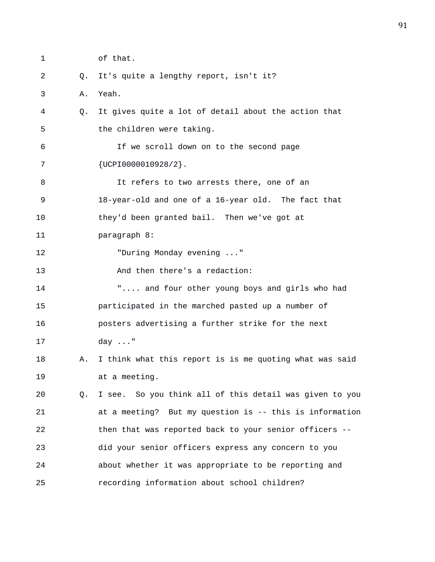1 of that. 2 Q. It's quite a lengthy report, isn't it? 3 A. Yeah. 4 Q. It gives quite a lot of detail about the action that 5 the children were taking. 6 If we scroll down on to the second page 7 {UCPI0000010928/2}. 8 It refers to two arrests there, one of an 9 18-year-old and one of a 16-year old. The fact that 10 they'd been granted bail. Then we've got at 11 paragraph 8: 12 "During Monday evening ..." 13 And then there's a redaction: 14 ".... and four other young boys and girls who had 15 participated in the marched pasted up a number of 16 posters advertising a further strike for the next 17 day ..." 18 A. I think what this report is is me quoting what was said 19 at a meeting. 20 Q. I see. So you think all of this detail was given to you 21 at a meeting? But my question is -- this is information 22 then that was reported back to your senior officers -- 23 did your senior officers express any concern to you 24 about whether it was appropriate to be reporting and 25 recording information about school children?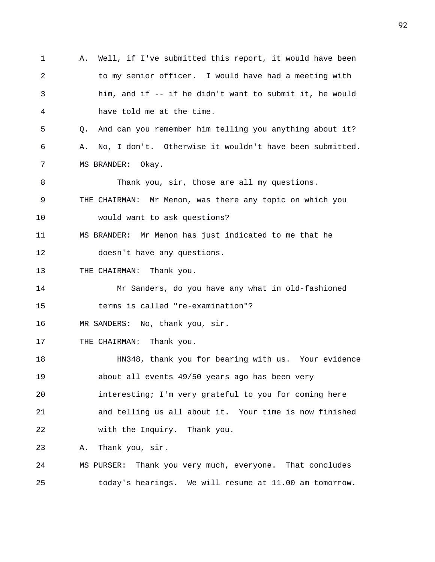1 A. Well, if I've submitted this report, it would have been 2 to my senior officer. I would have had a meeting with 3 him, and if -- if he didn't want to submit it, he would 4 have told me at the time. 5 Q. And can you remember him telling you anything about it? 6 A. No, I don't. Otherwise it wouldn't have been submitted. 7 MS BRANDER: Okay. 8 Thank you, sir, those are all my questions. 9 THE CHAIRMAN: Mr Menon, was there any topic on which you 10 would want to ask questions? 11 MS BRANDER: Mr Menon has just indicated to me that he 12 doesn't have any questions. 13 THE CHAIRMAN: Thank you. 14 Mr Sanders, do you have any what in old-fashioned 15 terms is called "re-examination"? 16 MR SANDERS: No, thank you, sir. 17 THE CHAIRMAN: Thank you. 18 HN348, thank you for bearing with us. Your evidence 19 about all events 49/50 years ago has been very 20 interesting; I'm very grateful to you for coming here 21 and telling us all about it. Your time is now finished 22 with the Inquiry. Thank you. 23 A. Thank you, sir. 24 MS PURSER: Thank you very much, everyone. That concludes 25 today's hearings. We will resume at 11.00 am tomorrow.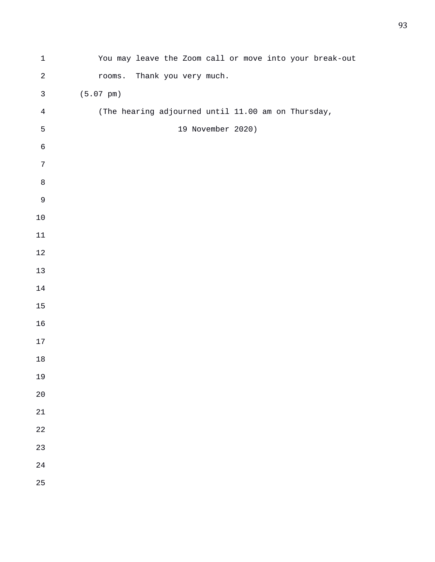| $\mathbf 1$    | You may leave the Zoom call or move into your break-out |
|----------------|---------------------------------------------------------|
| $\sqrt{2}$     | Thank you very much.<br>rooms.                          |
| $\mathsf 3$    | $(5.07 \text{ pm})$                                     |
| $\overline{4}$ | (The hearing adjourned until 11.00 am on Thursday,      |
| $\mathsf S$    | 19 November 2020)                                       |
| $\epsilon$     |                                                         |
| $\sqrt{ }$     |                                                         |
| $\,8\,$        |                                                         |
| $\mathsf 9$    |                                                         |
| $10$           |                                                         |
| 11             |                                                         |
| $1\,2$         |                                                         |
| $13\,$         |                                                         |
| 14             |                                                         |
| $15\,$         |                                                         |
| 16             |                                                         |
| $17$           |                                                         |
| $18\,$         |                                                         |
| 19             |                                                         |
| 20             |                                                         |
| 21             |                                                         |
| 22             |                                                         |
| 23             |                                                         |
| 24             |                                                         |
| 25             |                                                         |